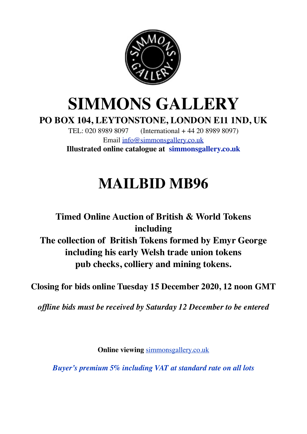

# **SIMMONS GALLERY**

**PO BOX 104, LEYTONSTONE, LONDON E11 1ND, UK**

TEL: 020 8989 8097 (International + 44 20 8989 8097) Email [info@simmonsgallery.co.uk](mailto:info@simmonsgallery.co.uk) **Illustrated online catalogue at [simmonsgallery.co.uk](http://simmonsgallery.co.uk)**

# **MAILBID MB96**

## **Timed Online Auction of British & World Tokens including The collection of British Tokens formed by Emyr George including his early Welsh trade union tokens pub checks, colliery and mining tokens.**

**Closing for bids online Tuesday 15 December 2020, 12 noon GMT**

*offline bids must be received by Saturday 12 December to be entered*

**Online viewing** [simmonsgallery.co.uk](http://simmonsgallery.co.uk)

*Buyer's premium 5% including VAT at standard rate on all lots*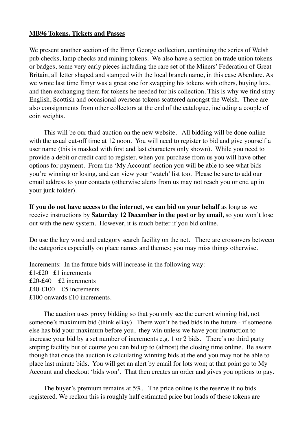#### **MB96 Tokens, Tickets and Passes**

We present another section of the Emyr George collection, continuing the series of Welsh pub checks, lamp checks and mining tokens. We also have a section on trade union tokens or badges, some very early pieces including the rare set of the Miners' Federation of Great Britain, all letter shaped and stamped with the local branch name, in this case Aberdare. As we wrote last time Emyr was a great one for swapping his tokens with others, buying lots, and then exchanging them for tokens he needed for his collection. This is why we find stray English, Scottish and occasional overseas tokens scattered amongst the Welsh. There are also consignments from other collectors at the end of the catalogue, including a couple of coin weights.

This will be our third auction on the new website. All bidding will be done online with the usual cut-off time at 12 noon. You will need to register to bid and give yourself a user name (this is masked with first and last characters only shown). While you need to provide a debit or credit card to register, when you purchase from us you will have other options for payment. From the 'My Account' section you will be able to see what bids you're winning or losing, and can view your 'watch' list too. Please be sure to add our email address to your contacts (otherwise alerts from us may not reach you or end up in your junk folder).

**If you do not have access to the internet, we can bid on your behalf** as long as we receive instructions by **Saturday 12 December in the post or by email,** so you won't lose out with the new system. However, it is much better if you bid online.

Do use the key word and category search facility on the net. There are crossovers between the categories especially on place names and themes; you may miss things otherwise.

Increments: In the future bids will increase in the following way: £1-£20 £1 increments £20-£40 £2 increments £40-£100 £5 increments £100 onwards £10 increments.

The auction uses proxy bidding so that you only see the current winning bid, not someone's maximum bid (think eBay). There won't be tied bids in the future - if someone else has bid your maximum before you, they win unless we have your instruction to increase your bid by a set number of increments e.g. 1 or 2 bids. There's no third party sniping facility but of course you can bid up to (almost) the closing time online. Be aware though that once the auction is calculating winning bids at the end you may not be able to place last minute bids. You will get an alert by email for lots won; at that point go to My Account and checkout 'bids won'. That then creates an order and gives you options to pay.

The buyer's premium remains at 5%. The price online is the reserve if no bids registered. We reckon this is roughly half estimated price but loads of these tokens are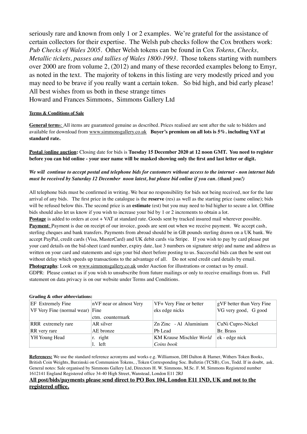seriously rare and known from only 1 or 2 examples. We're grateful for the assistance of certain collectors for their expertise. The Welsh pub checks follow the Cox brothers work: *Pub Checks of Wales 2005.* Other Welsh tokens can be found in Cox *Tokens, Checks, Metallic tickets, passes and tallies of Wales 1800-1993*. Those tokens starting with numbers over 2000 are from volume 2, (2012) and many of these recorded examples belong to Emyr, as noted in the text. The majority of tokens in this listing are very modestly priced and you may need to be brave if you really want a certain token. So bid high, and bid early please! All best wishes from us both in these strange times Howard and Frances Simmons, Simmons Gallery Ltd

#### **Terms & Conditions of Sale**

**General term**s: All items are guaranteed genuine as described. Prices realised are sent after the sale to bidders and available for download from [www.simmonsgallery.co.uk](http://www.simmonsgallery.co.uk) **Buyer's premium on all lots is 5%. including VAT at standard rate.**

**Postal /online auction:** Closing date for bids is **Tuesday 15 December 2020 at 12 noon GMT. You need to register before you can bid online - your user name will be masked showing only the first and last letter or digit.**

#### *We will continue to accept postal and telephone bids for customers without access to the internet - non internet bids must be received by Saturday 12 December noon latest, but please bid online if you can. (thank you!)*

All telephone bids must be confirmed in writing. We bear no responsibility for bids not being received, nor for the late arrival of any bids. The first price in the catalogue is the **reserve** (res) as well as the starting price (same online); bids will be refused below this. The second price is an **estimate** (est) but you may need to bid higher to secure a lot. Offline bids should also let us know if you wish to increase your bid by 1 or 2 increments to obtain a lot.

**Postage** is added to orders at cost + VAT at standard rate. Goods sent by tracked insured mail wherever possible. **Payment**: Payment is due on receipt of our invoice, goods are sent out when we receive payment. We accept cash, sterling cheques and bank transfers. Payments from abroad should be in GB pounds sterling drawn on a UK bank. We accept PayPal, credit cards (Visa, MasterCard) and UK debit cards via Stripe. If you wish to pay by card please put your card details on the bid-sheet (card number, expiry date, last 3 numbers on signature strip) and name and address as written on your card and statements and sign your bid sheet before posting to us. Successful bids can then be sent out without delay which speeds up transactions to the advantage of all. Do not send credit card details by email.

**Photographs**: Look on [www.simmonsgallery.co.uk](http://www.simmonsgallery.co.uk) under Auction for illustrations or contact us by email. GDPR: Please contact us if you wish to unsubscribe from future mailings or only to receive emailings from us. Full statement on data privacy is on our website under Terms and Conditions.

#### **Grading & other abbreviations:**

| EF Extremely Fine                 | nVF near or almost Very | VF+ Very Fine or better         | gVF better than Very Fine |
|-----------------------------------|-------------------------|---------------------------------|---------------------------|
| $VF$ Very Fine (normal wear) Fine |                         | eks edge nicks                  | VG very good, G good      |
|                                   | ctm. countermark        |                                 |                           |
| RRR extremely rare                | AR silver               | Zn Zinc - Al Aluminium          | CuNi Cupro-Nickel         |
| RR very rare                      | AE bronze               | Pb Lead                         | Br. Brass                 |
| YH Young Head                     | r. right                | <b>KM Krause Mischler World</b> | $ek - edge$ nick          |
|                                   | l. left                 | Coins book                      |                           |

**References:** We use the standard reference acronyms and works e.g. Williamson, DH Dalton & Hamer, Withers Token Books, British Coin Weights, Burzinski on Communion Tokens, , Token Corresponding Soc. Bulletin (TCSB), Cox, Todd. If in doubt, ask. General notes: Sale organised by Simmons Gallery Ltd, Directors H. W. Simmons, M.Sc. F. M. Simmons Registered number 1612141 England Registered office 34-40 High Street, Wanstead, London E11 2RJ

#### **All post/bids/payments please send direct to PO Box 104, London E11 1ND, UK and not to the registered office.**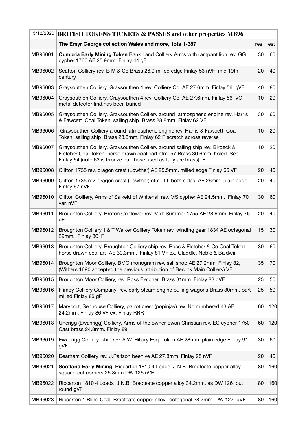| 15/12/2020 | <b>BRITISH TOKENS TICKETS &amp; PASSES and other properties MB96</b>                                                                                                                                                            |     |     |
|------------|---------------------------------------------------------------------------------------------------------------------------------------------------------------------------------------------------------------------------------|-----|-----|
|            | The Emyr George collection Wales and more, lots 1-387                                                                                                                                                                           | res | est |
| MB96001    | <b>Cumbria Early Mining Token Bank Land Colliery Arms with rampant lion rev. GG</b><br>cypher 1760 AE 25.9mm. Finlay 44 gF                                                                                                      | 30  | 60  |
| MB96002    | Seatton Colliery rev. B M & Co Brass 26.9 milled edge Finlay 53 nVF mid 19th<br>century                                                                                                                                         | 20  | 40  |
| MB96003    | Graysouthen Colliery, Graysouthen 4 rev. Colliery Co AE 27.6mm. Finlay 56 gVF                                                                                                                                                   | 40  | 80  |
| MB96004    | Graysouthen Colliery, Graysouthen 4 rev. Colliery Co AE 27.6mm. Finlay 56 VG<br>metal detector find, has been buried                                                                                                            | 10  | 20  |
| MB96005    | Graysouthen Colliery, Graysouthen Colliery around atmospheric engine rev. Harris<br>& Fawcett Coal Token sailing ship Brass 28.8mm. Finlay 62 VF                                                                                | 30  | 60  |
| MB96006    | Graysouthen Colliery around atmospheric engine rev. Harris & Fawcett Coal<br>Token sailing ship Brass 28.8mm. Finlay 62 F scratch across reverse                                                                                | 10  | 20  |
| MB96007    | Graysouthen Colliery, Graysouthen Colliery around sailing ship rev. Birbeck &<br>Fletcher Coal Token horse drawn coal cart ctm. 57 Brass 30.6mm. holed See<br>Finlay 64 (note 63 is bronze but those used as tally are brass) F | 10  | 20  |
| MB96008    | Clifton 1735 rev. dragon crest (Lowther) AE 25.5mm. milled edge Finlay 66 VF                                                                                                                                                    | 20  | 40  |
| MB96009    | Clifton 1735 rev. dragon crest (Lowther) ctm. I.L.both sides AE 26mm. plain edge<br>Finlay 67 nVF                                                                                                                               | 20  | 40  |
| MB96010    | Clifton Colliery, Arms of Salkeld of Whitehall rev. MS cypher AE 24.5mm. Finlay 70<br>var. nVF                                                                                                                                  | 30  | 60  |
| MB96011    | Broughton Colliery, Broton Co flower rev. Mid: Summer 1755 AE 28.6mm. Finlay 76<br>gF                                                                                                                                           | 20  | 40  |
| MB96012    | Broughton Colliery, I & T Walker Colliery Token rev. winding gear 1834 AE octagonal<br>29mm. Finlay 80 F                                                                                                                        | 15  | 30  |
| MB96013    | Broughton Colliery, Broughton Colliery ship rev. Ross & Fletcher & Co Coal Token<br>horse drawn coal art AE 30.3mm. Finlay 81 VF ex. Gladdle, Noble & Baldwin                                                                   | 30  | 60  |
| MB96014    | Broughton Moor Colliery, BMC monogram rev. sail shop AE 27.2mm. Finlay 82,<br>(Withers 1690 accepted the previous attribution of Bewick Main Colliery) VF                                                                       | 35  | 70  |
| MB96015    | Broughton Moor Colliery, rev. Ross Fletcher Brass 31mm. Finlay 83 gVF                                                                                                                                                           | 25  | 50  |
| MB96016    | Flimby Colliery Company rev. early steam engine pulling wagons Brass 30mm. part<br>milled Finlay 85 gF                                                                                                                          | 25  | 50  |
| MB96017    | Maryport, Senhouse Colliery, parrot crest (popinjay) rev. No numbered 43 AE<br>24.2mm. Finlay 86 VF ex. Finlay RRR                                                                                                              | 60  | 120 |
| MB96018    | Unerigg (Ewanrigg) Colliery, Arms of the owner Ewan Christian rev. EC cypher 1750<br>Cast brass 24.8mm. Finlay 89                                                                                                               | 60  | 120 |
| MB96019    | Ewanrigg Colliery ship rev. A.W. Hillary Esq. Token AE 28mm. plain edge Finlay 91<br>gVF                                                                                                                                        | 30  | 60  |
| MB96020    | Dearham Colliery rev. J. Paitson beehive AE 27.8mm. Finlay 95 nVF                                                                                                                                                               | 20  | 40  |
| MB96021    | Scotland Early Mining Riccarton 1810 4 Loads J.N.B. Bracteate copper alloy<br>square cut corners 25.3mm.DW 126 nVF                                                                                                              | 80  | 160 |
| MB96022    | Riccarton 1810 4 Loads J.N.B. Bracteate copper alloy 24.2mm. as DW 126 but<br>round gVF                                                                                                                                         | 80  | 160 |
| MB96023    | Riccarton 1 Blind Coal Bracteate copper alloy, octagonal 28.7mm. DW 127 gVF                                                                                                                                                     | 80  | 160 |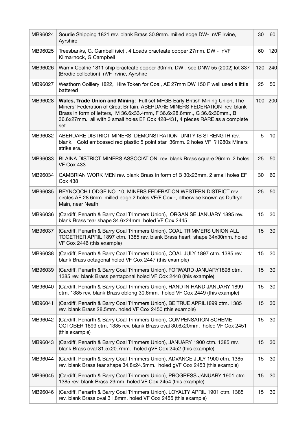| MB96024 | Sourlie Shipping 1821 rev. blank Brass 30.9mm. milled edge DW- nVF Irvine,<br>Ayrshire                                                                                                                                                                                                                                                 | 30  | 60  |
|---------|----------------------------------------------------------------------------------------------------------------------------------------------------------------------------------------------------------------------------------------------------------------------------------------------------------------------------------------|-----|-----|
| MB96025 | Treesbanks, G. Cambell (sic), 4 Loads bracteate copper 27mm. DW - nVF<br>Kilmarnock, G Campbell                                                                                                                                                                                                                                        | 60  | 120 |
| MB96026 | Warrix Coalrie 1811 ship bracteate copper 30mm. DW-, see DNW 55 (2002) lot 337<br>(Brodie collection) nVF Irvine, Ayrshire                                                                                                                                                                                                             | 120 | 240 |
| MB96027 | Westhorn Colliery 1822, Hire Token for Coal, AE 27mm DW 150 F well used a little<br>battered                                                                                                                                                                                                                                           | 25  | 50  |
| MB96028 | <b>Wales, Trade Union and Mining: Full set MFGB Early British Mining Union, The</b><br>Miners' Federation of Great Britain. ABERDARE MINERS FEDERATION rev. blank<br>Brass in form of letters, M 36.6x33.4mm, F 36.6x28.6mm., G 36.6x30mm., B<br>36.6x27mm. all with 3 small holes EF Cox 428-431, 4 pieces RARE as a complete<br>set. | 100 | 200 |
| MB96032 | ABERDARE DISTRICT MINERS' DEMONSTRATION UNITY IS STRENGTH rev.<br>blank. Gold embossed red plastic 5 point star 36mm. 2 holes VF ?1980s Miners<br>strike era.                                                                                                                                                                          | 5   | 10  |
| MB96033 | BLAINA DISTRICT MINERS ASSOCIATION rev. blank Brass square 26mm. 2 holes<br>VF Cox 433                                                                                                                                                                                                                                                 | 25  | 50  |
| MB96034 | CAMBRIAN WORK MEN rev. blank Brass in form of B 30x23mm, 2 small holes EF<br><b>Cox 438</b>                                                                                                                                                                                                                                            | 30  | 60  |
| MB96035 | BEYNCOCH LODGE NO. 10, MINERS FEDERATION WESTERN DISTRICT rev.<br>circles AE 28.6mm. milled edge 2 holes VF/F Cox -, otherwise known as Duffryn<br>Main, near Neath                                                                                                                                                                    | 25  | 50  |
| MB96036 | (Cardiff, Penarth & Barry Coal Trimmers Union), ORGANISE JANUARY 1895 rev.<br>blank Brass tear shape 34.6x24mm. holed VF Cox 2445                                                                                                                                                                                                      | 15  | 30  |
| MB96037 | (Cardiff, Penarth & Barry Coal Trimmers Union), COAL TRIMMERS UNION ALL<br>TOGETHER APRIL 1897 ctm. 1385 rev. blank Brass heart shape 34x30mm. holed<br>VF Cox 2446 (this example)                                                                                                                                                     | 15  | 30  |
| MB96038 | (Cardiff, Penarth & Barry Coal Trimmers Union), COAL JULY 1897 ctm. 1385 rev.<br>blank Brass octagonal holed VF Cox 2447 (this example)                                                                                                                                                                                                | 15  | 30  |
| MB96039 | (Cardiff, Penarth & Barry Coal Trimmers Union), FORWARD JANUARY1898 ctm.<br>1385 rev. blank Brass pentagonal holed VF Cox 2448 (this example)                                                                                                                                                                                          | 15  | 30  |
| MB96040 | (Cardiff, Penarth & Barry Coal Trimmers Union), HAND IN HAND JANUARY 1899<br>ctm. 1385 rev. blank Brass oblong 30.6mm. holed VF Cox 2449 (this example)                                                                                                                                                                                | 15  | 30  |
| MB96041 | (Cardiff, Penarth & Barry Coal Trimmers Union), BE TRUE APRIL1899 ctm. 1385<br>rev. blank Brass 28.5mm. holed VF Cox 2450 (this example)                                                                                                                                                                                               | 15  | 30  |
| MB96042 | (Cardiff, Penarth & Barry Coal Trimmers Union), COMPENSATION SCHEME<br>OCTOBER 1899 ctm. 1385 rev. blank Brass oval 30.6x20mm. holed VF Cox 2451<br>(this example)                                                                                                                                                                     | 15  | 30  |
| MB96043 | (Cardiff, Penarth & Barry Coal Trimmers Union), JANUARY 1900 ctm. 1385 rev.<br>blank Brass oval 31.5x20.7mm. holed gVF Cox 2452 (this example)                                                                                                                                                                                         | 15  | 30  |
| MB96044 | (Cardiff, Penarth & Barry Coal Trimmers Union), ADVANCE JULY 1900 ctm. 1385<br>rev. blank Brass tear shape 34.8x24.5mm. holed gVF Cox 2453 (this example)                                                                                                                                                                              | 15  | 30  |
| MB96045 | (Cardiff, Penarth & Barry Coal Trimmers Union), PROGRESS JANUARY 1901 ctm.<br>1385 rev. blank Brass 29mm. holed VF Cox 2454 (this example)                                                                                                                                                                                             | 15  | 30  |
| MB96046 | (Cardiff, Penarth & Barry Coal Trimmers Union), LOYALTY APRIL 1901 ctm. 1385<br>rev. blank Brass oval 31.8mm. holed VF Cox 2455 (this example)                                                                                                                                                                                         | 15  | 30  |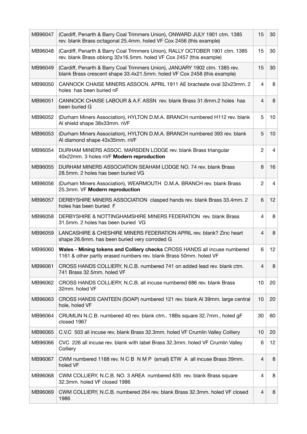| MB96047 | (Cardiff, Penarth & Barry Coal Trimmers Union), ONWARD JULY 1901 ctm. 1385<br>rev. blank Brass octagonal 25.4mm. holed VF Cox 2456 (this example)       | 15             | 30 |
|---------|---------------------------------------------------------------------------------------------------------------------------------------------------------|----------------|----|
| MB96048 | (Cardiff, Penarth & Barry Coal Trimmers Union), RALLY OCTOBER 1901 ctm. 1385<br>rev. blank Brass oblong 32x16.5mm. holed VF Cox 2457 (this example)     | 15             | 30 |
| MB96049 | (Cardiff, Penarth & Barry Coal Trimmers Union), JANUARY 1902 ctm. 1385 rev.<br>blank Brass crescent shape 33.4x21.5mm. holed VF Cox 2458 (this example) | 15             | 30 |
| MB96050 | CANNOCK CHAISE MINERS ASSOCN. APRIL 1911 AE bracteate oval 32x23mm. 2<br>holes has been buried nF                                                       | 4              | 8  |
| MB96051 | CANNOCK CHAISE LABOUR & A.F. ASSN rev. blank Brass 31.6mm.2 holes has<br>been buried G                                                                  | 4              | 8  |
| MB96052 | (Durham Miners Association), HYLTON D.M.A. BRANCH numbered H112 rev. blank<br>Al shield shape 38x33mm. nVF                                              | 5              | 10 |
| MB96053 | (Durham Miners Association), HYLTON D.M.A. BRANCH numbered 393 rev. blank<br>Al diamond shape 43x35mm. nVF                                              | 5              | 10 |
| MB96054 | DURHAM MINERS ASSOC. MARSDEN LODGE rev. blank Brass triangular<br>40x22mm. 3 holes nVF Modern reproduction                                              | $\overline{c}$ | 4  |
| MB96055 | DURHAM MINERS ASSOCIATION SEAHAM LODGE NO. 74 rev. blank Brass<br>28.5mm. 2 holes has been buried VG                                                    | 8              | 16 |
| MB96056 | (Durham Miners Association), WEARMOUTH D.M.A. BRANCH rev. blank Brass<br>25.3mm. VF Modern reproduction                                                 | $\overline{c}$ | 4  |
| MB96057 | DERBYSHIRE MINERS ASSOCIATION clasped hands rev. blank Brass 33.4mm. 2<br>holes has been buried F                                                       | 6              | 12 |
| MB96058 | DERBYSHIRE & NOTTINGHAMSHIRE MINERS FEDERATION rev. blank Brass<br>31.5mm. 2 holes has been buried VG                                                   | 4              | 8  |
| MB96059 | LANCASHIRE & CHESHIRE MINERS FEDERATION APRIL rev. blank? Zinc heart<br>shape 26.6mm. has been buried very corroded G                                   | 4              | 8  |
| MB96060 | Wales - Mining tokens and Colliery checks CROSS HANDS all incuse numbered<br>1161 & other partly erased numbers rev. blank Brass 50mm. holed VF         | 6              | 12 |
| MB96061 | CROSS HANDS COLLIERY, N.C.B. numbered 741 on added lead rev. blank ctm.<br>741 Brass 32.5mm. holed VF                                                   | 4              | 8  |
| MB96062 | CROSS HANDS COLLIERY, N.C.B. all incuse numbered 686 rev. blank Brass<br>32mm. holed VF                                                                 | 10             | 20 |
| MB96063 | CROSS HANDS CANTEEN (SOAP) numbered 121 rev. blank AI 39mm. large central<br>hole, holed VF                                                             | 10             | 20 |
| MB96064 | CRUMLIN N.C.B. numbered 40 rev. blank ctm 18Bs square 32.7mm., holed gF<br>closed 1967                                                                  | 30             | 60 |
| MB96065 | C.V.C 503 all incuse rev. blank Brass 32.3mm. holed VF Crumlin Valley Colliery                                                                          | 10             | 20 |
| MB96066 | CVC 226 all incuse rev. blank with label Brass 32.3mm. holed VF Crumlin Valley<br>Colliery                                                              | 6              | 12 |
| MB96067 | CWM numbered 1188 rev. N C B N M P (small) ETW A all incuse Brass 39mm.<br>holed VF                                                                     | 4              | 8  |
| MB96068 | CWM COLLIERY, N.C.B. NO. 3 AREA numbered 635 rev. blank Brass square<br>32.3mm. holed VF closed 1986                                                    | 4              | 8  |
| MB96069 | CWM COLLIERY, N.C.B. numbered 264 rev. blank Brass 32.3mm. holed VF closed<br>1986                                                                      | 4              | 8  |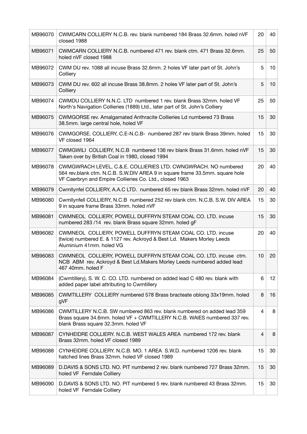| MB96070 | CWMCARN COLLIERY N.C.B. rev. blank numbered 184 Brass 32.6mm. holed nVF<br>closed 1988                                                                                                                    | 20              | 40 |
|---------|-----------------------------------------------------------------------------------------------------------------------------------------------------------------------------------------------------------|-----------------|----|
| MB96071 | CWMCARN COLLIERY N.C.B. numbered 471 rev. blank ctm. 471 Brass 32.6mm.<br>holed nVF closed 1988                                                                                                           | 25              | 50 |
| MB96072 | CWM DU rev. 1088 all incuse Brass 32.6mm. 2 holes VF later part of St. John's<br>Colliery                                                                                                                 | 5               | 10 |
| MB96073 | CWM DU rev. 602 all incuse Brass 38.8mm. 2 holes VF later part of St. John's<br>Colliery                                                                                                                  | 5               | 10 |
| MB96074 | CWMDU COLLIERY N.N.C. LTD numbered 1 rev. blank Brass 32mm. holed VF<br>North's Navigation Collieries (1889) Ltd., later part of St. John's Colliery                                                      | 25              | 50 |
| MB96075 | CWMGORSE rev. Amalgamated Anthracite Collieries Ld numbered 73 Brass<br>38.5mm. large central hole, holed VF                                                                                              | 15              | 30 |
| MB96076 | CWMGORSE. COLLIERY, C.E-N.C.B- numbered 287 rev blank Brass 39mm. holed<br>VF closed 1964                                                                                                                 | 15              | 30 |
| MB96077 | CWMGWILI COLLIERY, N.C.B numbered 136 rev blank Brass 31.6mm. holed nVF<br>Taken over by British Coal in 1980, closed 1994                                                                                | 15              | 30 |
| MB96078 | CWMGWRACH LEVEL, C.&.E. COLLIERIES LTD. CWNGWRACH. NO numbered<br>564 rev.blank ctm. N.C.B. S.W.DIV AREA 9 in square frame 33.5mm. square hole<br>VF Caerbryn and Empire Collieries Co. Ltd., closed 1963 | 20              | 40 |
| MB96079 | Cwmllynfel COLLIERY, A.A.C LTD. numbered 65 rev blank Brass 32mm. holed nVF                                                                                                                               | 20              | 40 |
| MB96080 | Cwmllynfell COLLIERY, N.C.B numbered 252 rev blank ctm. N.C.B. S.W. DIV AREA<br>9 in square frame Brass 33mm. holed nVF                                                                                   | 15              | 30 |
| MB96081 | CWMNEOL COLLIERY, POWELL DUFFRYN STEAM COAL CO. LTD. incuse<br>numbered 283 /14 rev. blank Brass square 32mm. holed gF                                                                                    | 15              | 30 |
| MB96082 | CWMNEOL COLLIERY, POWELL DUFFRYN STEAM COAL CO. LTD. incuse<br>(twice) numbered E. & 1127 rev. Ackroyd & Best Ld. Makers Morley Leeds<br>Aluminium 41mm. holed VG                                         | 20              | 40 |
| MB96083 | CWMNEOL COLLIERY, POWELL DUFFRYN STEAM COAL CO. LTD. incuse ctm.<br>NCB ABM rev. Ackroyd & Best Ld. Makers Morley Leeds numbered added lead<br>467 40mm, holed F                                          | 10 <sup>1</sup> | 20 |
| MB96084 | (Cwmtillery), S. W. C. CO. LTD. numbered on added lead C 480 rev. blank with<br>added paper label attributing to Cwmtillery                                                                               | 6               | 12 |
| MB96085 | CWMTILLERY COLLIERY numbered 578 Brass bracteate oblong 33x19mm. holed<br>gVF                                                                                                                             | 8               | 16 |
| MB96086 | CWMTILLERY N.C.B. SW numbered 863 rev. blank numbered on added lead 359<br>Brass square 34.6mm. holed VF + CWMTILLERY N.C.B. WAIES numbered 337 rev.<br>blank Brass square 32.3mm. holed VF               | 4               | 8  |
| MB96087 | CYNHEIDRE COLLIERY. N.C.B. WEST WALES AREA numbered 172 rev. blank<br>Brass 32mm. holed VF closed 1989                                                                                                    | $\overline{4}$  | 8  |
| MB96088 | CYNHEIDRE COLLIERY, N.C.B. MO. 1 AREA S.W.D. numbered 1206 rev. blank<br>hatched lines Brass 32mm. holed VF closed 1989                                                                                   | 15              | 30 |
| MB96089 | D.DAVIS & SONS LTD. NO. PIT numbered 2 rev. blank numbered 727 Brass 32mm.<br>holed VF Ferndale Colliery                                                                                                  | 15              | 30 |
| MB96090 | D. DAVIS & SONS LTD. NO. PIT numbered 5 rev. blank numbered 43 Brass 32mm.<br>holed VF Ferndale Colliery                                                                                                  | 15              | 30 |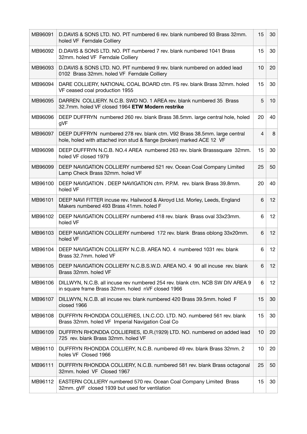| MB96091 | D.DAVIS & SONS LTD. NO. PIT numbered 6 rev. blank numbered 93 Brass 32mm.<br>holed VF Ferndale Colliery                                             | 15 | 30              |
|---------|-----------------------------------------------------------------------------------------------------------------------------------------------------|----|-----------------|
| MB96092 | D. DAVIS & SONS LTD. NO. PIT numbered 7 rev. blank numbered 1041 Brass<br>32mm. holed VF Ferndale Colliery                                          | 15 | 30              |
| MB96093 | D. DAVIS & SONS LTD. NO. PIT numbered 9 rev. blank numbered on added lead<br>0102 Brass 32mm. holed VF Ferndale Colliery                            | 10 | 20              |
| MB96094 | DARE COLLIERY, NATIONAL COAL BOARD ctm. FS rev. blank Brass 32mm. holed<br>VF ceased coal production 1955                                           | 15 | 30              |
| MB96095 | DARREN COLLIERY, N.C.B. SWD NO. 1 AREA rev. blank numbered 35 Brass<br>32.7mm. holed VF closed 1964 ETW Modern restrike                             | 5  | 10              |
| MB96096 | DEEP DUFFRYN numbered 260 rev. blank Brass 38.5mm. large central hole, holed<br>gVF                                                                 | 20 | 40              |
| MB96097 | DEEP DUFFRYN numbered 278 rev. blank ctm. V92 Brass 38.5mm. large central<br>hole, holed with attached iron stud & flange (broken) marked ACE 12 VF | 4  | 8               |
| MB96098 | DEEP DUFFRYN N.C.B. NO.4 AREA numbered 263 rev. blank Brasssquare 32mm.<br>holed VF closed 1979                                                     | 15 | 30              |
| MB96099 | DEEP NAVIGATION COLLIERY numbered 521 rev. Ocean Coal Company Limited<br>Lamp Check Brass 32mm. holed VF                                            | 25 | 50              |
| MB96100 | DEEP NAVIGATION. DEEP NAVIGATION ctm. P.P.M. rev. blank Brass 39.8mm.<br>holed VF                                                                   | 20 | 40              |
| MB96101 | DEEP NAVI FITTER incuse rev. Hailwood & Akroyd Ltd. Morley, Leeds, England<br>Makers numbered 493 Brass 41mm. holed F                               | 6  | 12              |
| MB96102 | DEEP NAVIGATION COLLIERY numbered 418 rev. blank Brass oval 33x23mm.<br>holed VF                                                                    | 6  | 12              |
| MB96103 | DEEP NAVIGATION COLLIERY numbered 172 rev. blank Brass oblong 33x20mm.<br>holed VF                                                                  | 6  | 12              |
| MB96104 | DEEP NAVIGATION COLLIERY N.C.B. AREA NO. 4 numbered 1031 rev. blank<br>Brass 32.7mm. holed VF                                                       | 6  | 12              |
| MB96105 | DEEP NAVIGATION COLLIERY N.C.B.S.W.D. AREA NO. 4 90 all incuse rev. blank<br>Brass 32mm. holed VF                                                   | 6  | 12 <sup>2</sup> |
| MB96106 | DILLWYN, N.C.B. all incuse rev numbered 254 rev. blank ctm. NCB SW DIV AREA 9<br>in square frame Brass 32mm. holed nVF closed 1966                  | 6  | 12 <sup>2</sup> |
| MB96107 | DILLWYN, N.C.B. all incuse rev. blank numbered 420 Brass 39.5mm. holed F<br>closed 1966                                                             | 15 | 30              |
| MB96108 | DUFFRYN RHONDDA COLLIERIES, I.N.C.CO. LTD. NO. numbered 561 rev. blank<br>Brass 32mm. holed VF Imperial Navigation Coal Co                          | 15 | 30              |
| MB96109 | DUFFRYN RHONDDA COLLIERIES, ID.R.(1929) LTD. NO. numbered on added lead<br>725 rev. blank Brass 32mm. holed VF                                      | 10 | 20              |
| MB96110 | DUFFRYN RHONDDA COLLIERY, N.C.B. numbered 49 rev. blank Brass 32mm. 2<br>holes VF Closed 1966                                                       | 10 | 20              |
| MB96111 | DUFFRYN RHONDDA COLLIERY, N.C.B. numbered 581 rev. blank Brass octagonal<br>32mm. holed VF Closed 1967                                              | 25 | 50              |
| MB96112 | EASTERN COLLIERY numbered 570 rev. Ocean Coal Company Limited Brass<br>32mm. gVF closed 1939 but used for ventilation                               | 15 | 30              |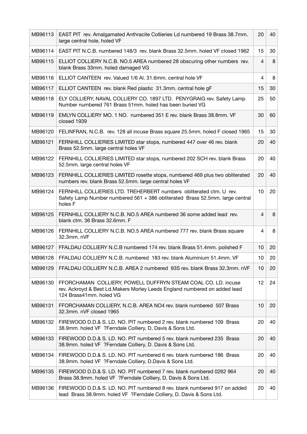| MB96113 | EAST PIT rev. Amalgamated Anthracite Collieries Ld numbered 19 Brass 38.7mm.<br>large central hole, holed VF                                                           | 20             | 40 |
|---------|------------------------------------------------------------------------------------------------------------------------------------------------------------------------|----------------|----|
| MB96114 | EAST PIT N.C.B. numbered 148/3 rev. blank Brass 32.5mm. holed VF closed 1962                                                                                           | 15             | 30 |
| MB96115 | ELLIOT COLLIERY N.C.B. NO.5 AREA numbered 28 obscuring other numbers rev.<br>blank Brass 33mm. holed damaged VG                                                        | $\overline{4}$ | 8  |
| MB96116 | ELLIOT CANTEEN rev. Valued 1/6 Al. 31.6mm. central hole VF                                                                                                             | 4              | 8  |
| MB96117 | ELLIOT CANTEEN rev. blank Red plastic 31.3mm. central hole gF                                                                                                          | 15             | 30 |
| MB96118 | ELY COLLIERY, NAVAL COLLIERY CO. 1897 LTD. PENYGRAIG rev. Safety Lamp<br>Number numbered 761 Brass 51mm, holed has been buried VG                                      | 25             | 50 |
| MB96119 | EMLYN COLLIERY MO. 1 NO. numbered 351 E rev. blank Brass 38.8mm. VF<br>closed 1939                                                                                     | 30             | 60 |
| MB96120 | FELINFRAN, N.C.B. rev. 128 all incuse Brass square 25.5mm. holed F closed 1965                                                                                         | 15             | 30 |
| MB96121 | FERNHILL COLLIERIES LIMITED star stops, numbered 447 over 46 rev. blank<br>Brass 52.5mm. large central holes VF                                                        | 20             | 40 |
| MB96122 | FERNHILL COLLIERIES LIMITED star stops, numbered 202 SCH rev. blank Brass<br>52.5mm. large central holes VF                                                            | 20             | 40 |
| MB96123 | FERNHILL COLLIERIES LIMITED rosette stops, numbered 469 plus two obliterated<br>numbers rev. blank Brass 52.5mm. large central holes VF                                | 20             | 40 |
| MB96124 | FERNHILL COLLIERIES LTD. TREHERBERT numbers obliterated ctm. U rev.<br>Safety Lamp Number numbered 561 + 386 obliterated Brass 52.5mm. large central<br>holes F        | 10             | 20 |
| MB96125 | FERNHILL COLLIERY N.C.B. NO.5 AREA numbered 36 some added lead rev.<br>blank ctm. 36 Brass 32.6mm. F                                                                   | 4              | 8  |
| MB96126 | FERNHILL COLLIERY N.C.B. NO.5 AREA numbered 777 rev. blank Brass square<br>32.3mm. nVF                                                                                 | 4              | 8  |
| MB96127 | FFALDAU COLLIERY N.C.B numbered 174 rev. blank Brass 51.4mm. polished F                                                                                                | 10             | 20 |
| MB96128 | FFALDAU COLLIERY N.C.B. numbered 183 rev. blank Aluminium 51.4mm. VF                                                                                                   | 10             | 20 |
| MB96129 | FFALDAU COLLIERY N.C.B. AREA 2 numbered 93S rev. blank Brass 32.3mm. nVF                                                                                               | 10             | 20 |
| MB96130 | FFORCHAMAN COLLIERY, POWELL DUFFRYN STEAM COAL CO. LD. incuse<br>rev. Ackroyd & Best Ld. Makers Morley Leeds England numbered on added lead<br>124 Brass41mm, holed VG | 12             | 24 |
| MB96131 | FFORCHAMAN COLLIERY, N.C.B. AREA NO4 rev. blank numbered 507 Brass<br>32.3mm. nVF closed 1965                                                                          | 10             | 20 |
| MB96132 | FIREWOOD D.D.& S. LD. NO. PIT numbered 2 rev. blank numbered 109 Brass<br>38.9mm. holed VF ?Ferndale Colliery, D, Davis & Sons Ltd.                                    | 20             | 40 |
| MB96133 | FIREWOOD D.D.& S. LD. NO. PIT numbered 5 rev. blank numbered 235 Brass<br>38.9mm. holed VF ?Ferndale Colliery, D. Davis & Sons Ltd.                                    | 20             | 40 |
| MB96134 | FIREWOOD D.D.& S. LD. NO. PIT numbered 6 rev. blank numbered 186 Brass<br>38.9mm. holed VF ?Ferndale Colliery, D.Davis & Sons Ltd.                                     | 20             | 40 |
| MB96135 | FIREWOOD D.D.& S. LD. NO. PIT numbered 7 rev. blank numbered 0262 964<br>Brass 38.9mm. holed VF ?Ferndale Colliery, D. Davis & Sons Ltd.                               | 20             | 40 |
| MB96136 | FIREWOOD D.D.& S. LD. NO. PIT numbered 8 rev. blank numbered 917 on added<br>lead Brass 38.9mm. holed VF ?Ferndale Colliery, D. Davis & Sons Ltd.                      | 20             | 40 |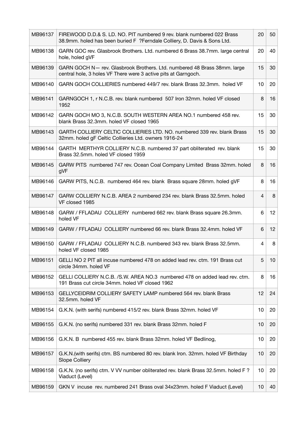| MB96137 | FIREWOOD D.D.& S. LD. NO. PIT numbered 9 rev. blank numbered 022 Brass<br>38.9mm. holed has been buried F ?Ferndale Colliery, D. Davis & Sons Ltd. | 20 | 50 |
|---------|----------------------------------------------------------------------------------------------------------------------------------------------------|----|----|
| MB96138 | GARN GOC rev. Glasbrook Brothers. Ltd. numbered 6 Brass 38.7mm. large central<br>hole, holed gVF                                                   | 20 | 40 |
| MB96139 | GARN GOCH N- rev. Glasbrook Brothers. Ltd. numbered 48 Brass 38mm. large<br>central hole, 3 holes VF There were 3 active pits at Garngoch.         | 15 | 30 |
| MB96140 | GARN GOCH COLLIERIES numbered 449/7 rev. blank Brass 32.3mm. holed VF                                                                              | 10 | 20 |
| MB96141 | GARNGOCH 1, r N.C.B. rev. blank numbered 507 Iron 32mm. holed VF closed<br>1952                                                                    | 8  | 16 |
| MB96142 | GARN GOCH MO 3, N.C.B. SOUTH WESTERN AREA NO.1 numbered 458 rev.<br>blank Brass 32.3mm. holed VF closed 1965                                       | 15 | 30 |
| MB96143 | GARTH COLLIERY CELTIC COLLIERIES LTD. NO. numbered 339 rev. blank Brass<br>32mm. holed gF Celtic Collieries Ltd. owners 1916-24                    | 15 | 30 |
| MB96144 | GARTH MERTHYR COLLIERY N.C.B. numbered 37 part obliterated rev. blank<br>Brass 32.5mm. holed VF closed 1959                                        | 15 | 30 |
| MB96145 | GARW PITS numbered 747 rev. Ocean Coal Company Limited Brass 32mm. holed<br>gVF                                                                    | 8  | 16 |
| MB96146 | GARW PITS, N.C.B. numbered 464 rev. blank Brass square 28mm. holed gVF                                                                             | 8  | 16 |
| MB96147 | GARW COLLIERY N.C.B. AREA 2 numbered 234 rev. blank Brass 32.5mm. holed<br>VF closed 1985                                                          | 4  | 8  |
| MB96148 | GARW / FFLADAU COLLIERY numbered 662 rev. blank Brass square 26.3mm.<br>holed VF                                                                   | 6  | 12 |
| MB96149 | GARW / FFLADAU COLLIERY numbered 66 rev. blank Brass 32.4mm. holed VF                                                                              | 6  | 12 |
| MB96150 | GARW / FFLADAU COLLIERY N.C.B. numbered 343 rev. blank Brass 32.5mm.<br>holed VF closed 1985                                                       | 4  | 8  |
| MB96151 | GELLI NO 2 PIT all incuse numbered 478 on added lead rev. ctm. 191 Brass cut<br>circle 34mm. holed VF                                              | 5  | 10 |
| MB96152 | GELLI COLLIERY N.C.B. /S.W. AREA NO.3 numbered 478 on added lead rev. ctm.<br>191 Brass cut circle 34mm. holed VF closed 1962                      | 8  | 16 |
| MB96153 | GELLYCEIDRIM COLLIERY SAFETY LAMP numbered 564 rev. blank Brass<br>32.5mm. holed VF                                                                | 12 | 24 |
| MB96154 | G.K.N. (with serifs) numbered 415/2 rev. blank Brass 32mm. holed VF                                                                                | 10 | 20 |
| MB96155 | G.K.N. (no serifs) numbered 331 rev. blank Brass 32mm. holed F                                                                                     | 10 | 20 |
| MB96156 | G.K.N. B numbered 455 rev. blank Brass 32mm. holed VF Bedlinog,                                                                                    | 10 | 20 |
| MB96157 | G.K.N. (with serifs) ctm. BS numbered 80 rev. blank Iron. 32mm. holed VF Birthday<br><b>Slope Colliery</b>                                         | 10 | 20 |
| MB96158 | G.K.N. (no serifs) ctm. V VV number obliterated rev. blank Brass 32.5mm. holed F?<br>Viaduct (Level)                                               | 10 | 20 |
| MB96159 | GKN V incuse rev. numbered 241 Brass oval 34x23mm. holed F Viaduct (Level)                                                                         | 10 | 40 |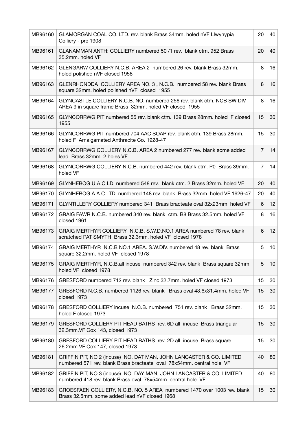| MB96160 | GLAMORGAN COAL CO. LTD. rev. blank Brass 34mm. holed nVF Llwynypia<br>Colliery - pre 1908                                                     | 20             | 40 |
|---------|-----------------------------------------------------------------------------------------------------------------------------------------------|----------------|----|
| MB96161 | GLANAMMAN ANTH: COLLIERY numbered 50 /1 rev. blank ctm. 952 Brass<br>35.2mm. holed VF                                                         | 20             | 40 |
| MB96162 | GLENGARW COLLIERY N.C.B. AREA 2 numbered 26 rev. blank Brass 32mm.<br>holed polished nVF closed 1958                                          | 8              | 16 |
| MB96163 | GLENRHONDDA COLLIERY AREA NO. 3, N.C.B. numbered 58 rev. blank Brass<br>square 32mm. holed polished nVF closed 1955                           | 8              | 16 |
| MB96164 | GLYNCASTLE COLLIERY N.C.B. NO. numbered 256 rev. blank ctm. NCB SW DIV<br>AREA 9 in square frame Brass 32mm. holed VF closed 1955             | 8              | 16 |
| MB96165 | GLYNCORRWG PIT numbered 55 rev. blank ctm. 139 Brass 28mm. holed F closed<br>1955                                                             | 15             | 30 |
| MB96166 | GLYNCORRWG PIT numbered 704 AAC SOAP rev. blank ctm. 139 Brass 28mm.<br>holed F Amalgamated Anthracite Co. 1928-47                            | 15             | 30 |
| MB96167 | GLYNCORRWG COLLIERY N.C.B. AREA 2 numbered 277 rev. blank some added<br>lead Brass 32mm, 2 holes VF                                           | $\overline{7}$ | 14 |
| MB96168 | GLYNCORRWG COLLIERY N.C.B. numbered 442 rev. blank ctm. P0 Brass 39mm.<br>holed VF                                                            | $\overline{7}$ | 14 |
| MB96169 | GLYNHEBOG U.A.C.LD. numbered 548 rev. blank ctm. 2 Brass 32mm. holed VF                                                                       | 20             | 40 |
| MB96170 | GLYNHEBOG A.A.C.LTD. numbered 148 rev. blank Brass 32mm. holed VF 1926-47                                                                     | 20             | 40 |
| MB96171 | GLYNTILLERY COLLIERY numbered 341 Brass bracteate oval 32x23mm. holed VF                                                                      | 6              | 12 |
| MB96172 | GRAIG FAWR N.C.B. numbered 340 rev. blank ctm. B8 Brass 32.5mm. holed VF<br>closed 1961                                                       | 8              | 16 |
| MB96173 | GRAIG MERTHYR COLLIERY N.C.B. S.W.D.NO.1 AREA numbered 78 rev. blank<br>scratched PAT SMYTH Brass 32.3mm. holed VF closed 1978                | 6              | 12 |
| MB96174 | GRAIG MERTHYR N.C.B NO.1 AREA. S.W.DIV. numbered 48 rev. blank Brass<br>square 32.2mm. holed VF closed 1978                                   | 5              | 10 |
| MB96175 | GRAIG MERTHYR, N.C.B.all incuse numbered 342 rev. blank Brass square 32mm.<br>holed VF closed 1978                                            | 5              | 10 |
| MB96176 | GRESFORD numbered 712 rev. blank Zinc 32.7mm, holed VF closed 1973                                                                            | 15             | 30 |
| MB96177 | GRESFORD N.C.B. numbered 1126 rev. blank Brass oval 43.6x31.4mm. holed VF<br>closed 1973                                                      | 15             | 30 |
| MB96178 | GRESFORD COLLIERY incuse N.C.B. numbered 751 rev. blank Brass 32mm.<br>holed F closed 1973                                                    | 15             | 30 |
| MB96179 | GRESFORD COLLIERY PIT HEAD BATHS rev. 6D all incuse Brass triangular<br>32.3mm. VF Cox 143, closed 1973                                       | 15             | 30 |
| MB96180 | GRESFORD COLLIERY PIT HEAD BATHS rev. 2D all incuse Brass square<br>26.2mm. VF Cox 147, closed 1973                                           | 15             | 30 |
| MB96181 | GRIFFIN PIT, NO 2 (incuse) NO. DAT MAN, JOHN LANCASTER & CO. LIMITED<br>numbered 571 rev. blank Brass bracteate oval 78x54mm. central hole VF | 40             | 80 |
| MB96182 | GRIFFIN PIT, NO 3 (incuse) NO. DAY MAN, JOHN LANCASTER & CO. LIMITED<br>numbered 418 rev. blank Brass oval 78x54mm. central hole VF           | 40             | 80 |
| MB96183 | GROESFAEN COLLIERY, N.C.B. NO. 5 AREA numbered 1470 over 1003 rev. blank<br>Brass 32.5mm. some added lead nVF closed 1968                     | 15             | 30 |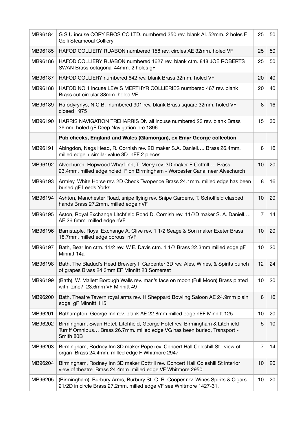| MB96184 | G S U incuse CORY BROS CO LTD. numbered 350 rev. blank AI. 52mm. 2 holes F<br>Gelli Steamcoal Colliery                                                                  | 25             | 50 |
|---------|-------------------------------------------------------------------------------------------------------------------------------------------------------------------------|----------------|----|
| MB96185 | HAFOD COLLIERY RUABON numbered 158 rev. circles AE 32mm. holed VF                                                                                                       | 25             | 50 |
| MB96186 | HAFOD COLLIERY RUABON numbered 1627 rev. blank ctm. 848 JOE ROBERTS<br>SWAN Brass octagonal 44mm. 2 holes gF                                                            | 25             | 50 |
| MB96187 | HAFOD COLLIERY numbered 642 rev. blank Brass 32mm. holed VF                                                                                                             | 20             | 40 |
| MB96188 | HAFOD NO 1 incuse LEWIS MERTHYR COLLIERIES numbered 467 rev. blank<br>Brass cut circular 38mm. holed VF                                                                 | 20             | 40 |
| MB96189 | Hafodyrynys, N.C.B. numbered 901 rev. blank Brass square 32mm. holed VF<br>closed 1975                                                                                  | 8              | 16 |
| MB96190 | HARRIS NAVIGATION TREHARRIS DN all incuse numbered 23 rev. blank Brass<br>39mm. holed gF Deep Navigation pre 1896                                                       | 15             | 30 |
|         | Pub checks, England and Wales (Glamorgan), ex Emyr George collection                                                                                                    |                |    |
| MB96191 | Abingdon, Nags Head, R. Cornish rev. 2D maker S.A. Daniell Brass 26.4mm.<br>milled edge + similar value 3D nEF 2 pieces                                                 | 8              | 16 |
| MB96192 | Alvechurch, Hopwood Wharf Inn, T. Merry rev. 3D maker E Cottrill Brass<br>23.4mm. milled edge holed F on Birmingham - Worcester Canal near Alvechurch                   | 10             | 20 |
| MB96193 | Armley, White Horse rev. 2D Check Twopence Brass 24.1mm. milled edge has been<br>buried gF Leeds Yorks.                                                                 | 8              | 16 |
| MB96194 | Ashton, Manchester Road, snipe flying rev. Snipe Gardens, T. Scholfield clasped<br>hands Brass 27.2mm. milled edge nVF                                                  | 10             | 20 |
| MB96195 | Aston, Royal Exchange Litchfield Road D. Cornish rev. 11/2D maker S. A. Daniell<br>AE 26.6mm. milled edge nVF                                                           | 7              | 14 |
| MB96196 | Barnstaple, Royal Exchange A. Clive rev. 1 1/2 Seage & Son maker Exeter Brass<br>18.7mm. milled edge porous nVF                                                         | 10             | 20 |
| MB96197 | Bath, Bear Inn ctm. 11/2 rev. W.E. Davis ctm. 1 1/2 Brass 22.3mm milled edge gF<br>Minnitt 14a                                                                          | 10             | 20 |
| MB96198 | Bath, The Bladud's Head Brewery I. Carpenter 3D rev. Ales, Wines, & Spirits bunch<br>of grapes Brass 24.3mm EF Minnitt 23 Somerset                                      | 12             | 24 |
| MB96199 | (Bath), W. Mallett Borough Walls rev. man's face on moon (Full Moon) Brass plated<br>with zinc? 23.6mm VF Minnitt 49                                                    | 10             | 20 |
| MB96200 | Bath, Theatre Tavern royal arms rev. H Sheppard Bowling Saloon AE 24.9mm plain<br>edge gF Minnitt 115                                                                   | 8              | 16 |
| MB96201 | Bathampton, George Inn rev. blank AE 22.8mm milled edge nEF Minnitt 125                                                                                                 | 10             | 20 |
| MB96202 | Birmingham, Swan Hotel, Litchfield, George Hotel rev. Birmingham & Litchfield<br>Turriff Omnibus Brass 26.7mm. milled edge VG has been buried, Transport -<br>Smith 80B | 5              | 10 |
| MB96203 | Birmingham, Rodney Inn 3D maker Pope rev. Concert Hall Coleshill St. view of<br>organ Brass 24.4mm. milled edge F Whitmore 2947                                         | $\overline{7}$ | 14 |
| MB96204 | Birmingham, Rodney Inn 3D maker Cottrill rev. Concert Hall Coleshill St interior<br>view of theatre Brass 24.4mm. milled edge VF Whitmore 2950                          | 10             | 20 |
| MB96205 | (Birmingham), Burbury Arms, Burbury St. C. R. Cooper rev. Wines Spirits & Cigars<br>21/2D in circle Brass 27.2mm. milled edge VF see Whitmore 1427-31,                  | 10             | 20 |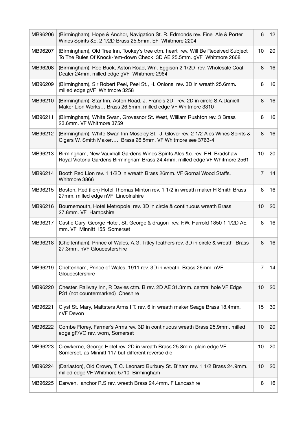| MB96206 | (Birmingham), Hope & Anchor, Navigation St. R. Edmonds rev. Fine Ale & Porter<br>Wines Spirits &c. 2 1/2D Brass 25.5mm. EF Whitmore 2204                   | 6              | 12 <sup>2</sup> |
|---------|------------------------------------------------------------------------------------------------------------------------------------------------------------|----------------|-----------------|
| MB96207 | (Birmingham), Old Tree Inn, Tookey's tree ctm. heart rev. Will Be Received Subject<br>To The Rules Of Knock-'em-down Check 3D AE 25.5mm. gVF Whitmore 2668 | 10             | 20              |
| MB96208 | (Birmingham), Roe Buck, Aston Road, Wm. Eggison 2 1/2D rev. Wholesale Coal<br>Dealer 24mm. milled edge gVF Whitmore 2964                                   | 8              | 16              |
| MB96209 | (Birmingham), Sir Robert Peel, Peel St., H. Onions rev. 3D in wreath 25.6mm.<br>milled edge gVF Whitmore 3258                                              | 8              | 16              |
| MB96210 | (Birmingham), Star Inn, Aston Road, J. Francis 2D rev. 2D in circle S.A.Daniell<br>Maker Lion Works Brass 26.5mm. milled edge VF Whitmore 3310             | 8              | 16              |
| MB96211 | (Birmingham), White Swan, Grovesnor St. West, William Rushton rev. 3 Brass<br>23.6mm. VF Whitmore 3759                                                     | 8              | 16              |
| MB96212 | (Birmingham), White Swan Inn Moseley St. J. Glover rev. 2 1/2 Ales Wines Spirits &<br>Cigars W. Smith Maker Brass 26.5mm. VF Whitmore see 3763-4           | 8              | 16              |
| MB96213 | Birmingham, New Vauxhall Gardens Wines Spirits Ales &c. rev. F.H. Bradshaw<br>Royal Victoria Gardens Birmingham Brass 24.4mm. milled edge VF Whitmore 2561 | 10             | 20              |
| MB96214 | Booth Red Lion rev. 1 1/2D in wreath Brass 26mm. VF Gornal Wood Staffs.<br>Whitmore 3866                                                                   | $\overline{7}$ | 14              |
| MB96215 | Boston, Red (lion) Hotel Thomas Minton rev. 1 1/2 in wreath maker H Smith Brass<br>27mm. milled edge nVF Lincolnshire                                      | 8              | 16              |
| MB96216 | Bournemouth, Hotel Metropole rev. 3D in circle & continuous wreath Brass<br>27.8mm. VF Hampshire                                                           | 10             | 20              |
| MB96217 | Castle Cary, George Hotel, St. George & dragon rev. F.W. Harrold 1850 1 1/2D AE<br>mm. VF Minnitt 155 Somerset                                             | 8              | 16              |
| MB96218 | (Cheltenham), Prince of Wales, A.G. Titley feathers rev. 3D in circle & wreath Brass<br>27.3mm. nVF Gloucestershire                                        | 8              | 16              |
| MB96219 | Cheltenham, Prince of Wales, 1911 rev. 3D in wreath Brass 26mm. nVF<br>Gloucestershire                                                                     | 7              | 14              |
| MB96220 | Chester, Railway Inn, R Davies ctm. B rev. 2D AE 31.3mm. central hole VF Edge<br>P31 (not countermarked) Cheshire                                          | 10             | 20              |
| MB96221 | Clyst St. Mary, Maltsters Arms I.T. rev. 6 in wreath maker Seage Brass 18.4mm.<br>nVF Devon                                                                | 15             | 30              |
| MB96222 | Combe Florey, Farmer's Arms rev. 3D in continuous wreath Brass 25.9mm. milled<br>edge gF/VG rev. worn, Somerset                                            | 10             | 20              |
| MB96223 | Crewkerne, George Hotel rev. 2D in wreath Brass 25.8mm. plain edge VF<br>Somerset, as Minnitt 117 but different reverse die                                | 10             | 20              |
| MB96224 | (Darlaston), Old Crown, T. C. Leonard Burbury St. B'ham rev. 1 1/2 Brass 24.9mm.<br>milled edge VF Whitmore 5710 Birmingham                                | 10             | 20              |
| MB96225 | Darwen, anchor R.S rev. wreath Brass 24.4mm. F Lancashire                                                                                                  | 8              | 16              |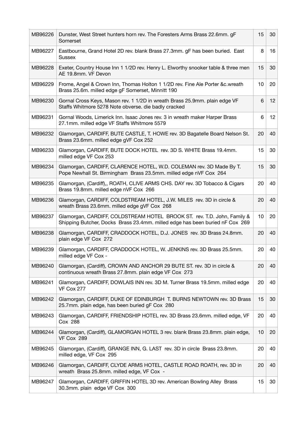| MB96226 | Dunster, West Street hunters horn rev. The Foresters Arms Brass 22.6mm. gF<br>Somerset                                                                  | 15 | 30 |
|---------|---------------------------------------------------------------------------------------------------------------------------------------------------------|----|----|
| MB96227 | Eastbourne, Grand Hotel 2D rev. blank Brass 27.3mm. gF has been buried. East<br><b>Sussex</b>                                                           | 8  | 16 |
| MB96228 | Exeter, Country House Inn 1 1/2D rev. Henry L. Elworthy snooker table & three men<br>AE 19.8mm. VF Devon                                                | 15 | 30 |
| MB96229 | Frome, Angel & Crown Inn, Thomas Holton 1 1/2D rev. Fine Ale Porter &c.wreath<br>Brass 25.6m. milled edge gF Somerset, Minnitt 190                      | 10 | 20 |
| MB96230 | Gornal Cross Keys, Mason rev. 1 1/2D in wreath Brass 25.9mm. plain edge VF<br>Staffs Whitmore 5278 Note obverse. die badly cracked                      | 6  | 12 |
| MB96231 | Gornal Woods, Limerick Inn. Isaac Jones rev. 3 in wreath maker Harper Brass<br>27.1mm. milled edge VF Staffs Whitmore 5579                              | 6  | 12 |
| MB96232 | Glamorgan, CARDIFF, BUTE CASTLE, T. HOWE rev. 3D Bagatelle Board Nelson St.<br>Brass 23.6mm. milled edge gVF Cox 252                                    | 20 | 40 |
| MB96233 | Glamorgan, CARDIFF, BUTE DOCK HOTEL rev. 3D S. WHITE Brass 19.4mm.<br>milled edge VF Cox 253                                                            | 15 | 30 |
| MB96234 | Glamorgan, CARDIFF, CLARENCE HOTEL, W.D. COLEMAN rev. 3D Made By T.<br>Pope Newhall St. Birmingham Brass 23.5mm. milled edge nVF Cox 264                | 15 | 30 |
| MB96235 | Glamorgan, (Cardiff),, ROATH, CLIVE ARMS CHS. DAY rev. 3D Tobacco & Cigars<br>Brass 19.8mm. milled edge nVF Cox 266                                     | 20 | 40 |
| MB96236 | Glamorgan, CARDIFF, COLDSTREAM HOTEL, J.W. MILES rev. 3D in circle &<br>wreath Brass 23.6mm. milled edge gVF Cox 268                                    | 20 | 40 |
| MB96237 | Glamorgan, CARDIFF, COLDSTREAM HOTEL BROOK ST. rev. T.D. John, Family &<br>Shipping Butcher, Docks Brass 23.4mm. milled edge has been buried nF Cox 269 | 10 | 20 |
| MB96238 | Glamorgan, CARDIFF, CRADDOCK HOTEL, D.J. JONES rev. 3D Brass 24.8mm.<br>plain edge VF Cox 272                                                           | 20 | 40 |
| MB96239 | Glamorgan, CARDIFF, CRADDOCK HOTEL, W. JENKINS rev. 3D Brass 25.5mm.<br>milled edge VF Cox -                                                            | 20 | 40 |
| MB96240 | Glamorgan, (Cardiff), CROWN AND ANCHOR 29 BUTE ST. rev. 3D in circle &<br>continuous wreath Brass 27.8mm. plain edge VF Cox 273                         | 20 | 40 |
| MB96241 | Glamorgan, CARDIFF, DOWLAIS INN rev. 3D M. Turner Brass 19.5mm. milled edge<br>VF Cox 277                                                               | 20 | 40 |
| MB96242 | Glamorgan, CARDIFF, DUKE OF EDINBURGH T. BURNS NEWTOWN rev. 3D Brass<br>25.7mm. plain edge, has been buried gF Cox 280                                  | 15 | 30 |
| MB96243 | Glamorgan, CARDIFF, FRIENDSHIP HOTEL rev. 3D Brass 23.6mm. milled edge, VF<br>Cox 288                                                                   | 20 | 40 |
| MB96244 | Glamorgan, (Cardiff), GLAMORGAN HOTEL 3 rev. blank Brass 23.8mm. plain edge,<br>VF Cox 289                                                              | 10 | 20 |
| MB96245 | Glamorgan, (Cardiff), GRANGE INN, G. LAST rev. 3D in circle Brass 23.8mm.<br>milled edge, VF Cox 295                                                    | 20 | 40 |
| MB96246 | Glamorgan, CARDIFF, CLYDE ARMS HOTEL, CASTLE ROAD ROATH, rev. 3D in<br>wreath Brass 25.8mm. milled edge, VF Cox -                                       | 20 | 40 |
| MB96247 | Glamorgan, CARDIFF, GRIFFIN HOTEL 3D rev. American Bowling Alley Brass<br>30.3mm. plain edge VF Cox 300                                                 | 15 | 30 |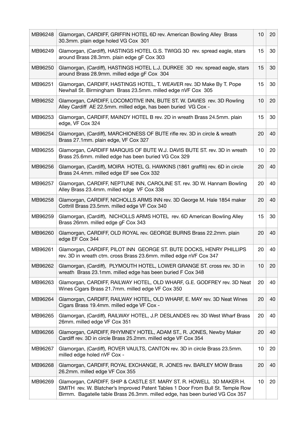| MB96248 | Glamorgan, CARDIFF, GRIFFIN HOTEL 6D rev. American Bowling Alley Brass<br>30.3mm. plain edge holed VG Cox 301                                                                                                                           | 10 | 20 |
|---------|-----------------------------------------------------------------------------------------------------------------------------------------------------------------------------------------------------------------------------------------|----|----|
| MB96249 | Glamorgan, (Cardiff), HASTINGS HOTEL G.S. TWIGG 3D rev. spread eagle, stars<br>around Brass 28.3mm. plain edge gF Cox 303                                                                                                               | 15 | 30 |
| MB96250 | Glamorgan, (Cardiff), HASTINGS HOTEL L.J. DURKEE 3D rev. spread eagle, stars<br>around Brass 28.9mm. milled edge gF Cox 304                                                                                                             | 15 | 30 |
| MB96251 | Glamorgan, CARDIFF, HASTINGS HOTEL, T. WEAVER rev. 3D Make By T. Pope<br>Newhall St. Birmingham Brass 23.5mm. milled edge nVF Cox 305                                                                                                   | 15 | 30 |
| MB96252 | Glamorgan, CARDIFF, LOCOMOTIVE INN, BUTE ST. W. DAVIES rev. 3D Rowling<br>Alley Cardiff AE 22.5mm. milled edge, has been buried VG Cox -                                                                                                | 10 | 20 |
| MB96253 | Glamorgan, CARDIFF, MAINDY HOTEL B rev. 2D in wreath Brass 24.5mm. plain<br>edge, VF Cox 324                                                                                                                                            | 15 | 30 |
| MB96254 | Glamorgan, (Cardiff), MARCHIONESS OF BUTE rifle rev. 3D in circle & wreath<br>Brass 27.1mm. plain edge, VF Cox 327                                                                                                                      | 20 | 40 |
| MB96255 | Glamorgan, CARDIFF MARQUIS OF BUTE W.J. DAVIS BUTE ST. rev. 3D in wreath<br>Brass 25.6mm. milled edge has been buried VG Cox 329                                                                                                        | 10 | 20 |
| MB96256 | Glamorgan, (Cardiff), MOIRA HOTEL G. HAWKINS (1861 graffiti) rev. 6D in circle<br>Brass 24.4mm. milled edge EF see Cox 332                                                                                                              | 20 | 40 |
| MB96257 | Glamorgan, CARDIFF, NEPTUNE INN, CAROLINE ST. rev. 3D W. Hannam Bowling<br>Alley Brass 23.4mm. milled edge VF Cox 338                                                                                                                   | 20 | 40 |
| MB96258 | Glamorgan, CARDIFF, NICHOLLS ARMS INN rev. 3D George M. Hale 1854 maker<br>Cottrill Brass 23.5mm. milled edge VF Cox 340                                                                                                                | 20 | 40 |
| MB96259 | Glamorgan, (Cardiff), NICHOLLS ARMS HOTEL rev. 6D American Bowling Alley<br>Brass 26mm. milled edge gF Cox 343                                                                                                                          | 15 | 30 |
| MB96260 | Glamorgan, CARDIFF, OLD ROYAL rev. GEORGE BURNS Brass 22.2mm. plain<br>edge EF Cox 344                                                                                                                                                  | 20 | 40 |
| MB96261 | Glamorgan, CARDIFF, PILOT INN GEORGE ST. BUTE DOCKS, HENRY PHILLIPS<br>rev. 3D in wreath ctm. cross Brass 23.6mm. milled edge nVF Cox 347                                                                                               | 20 | 40 |
| MB96262 | Glamorgan, (Cardiff), PLYMOUTH HOTEL, LOWER GRANGE ST. cross rev. 3D in<br>wreath Brass 23.1mm. milled edge has been buried F Cox 348                                                                                                   | 10 | 20 |
| MB96263 | Glamorgan, CARDIFF, RAILWAY HOTEL, OLD WHARF, G.E. GODFREY rev. 3D Neat<br>Wines Cigars Brass 21.7mm. milled edge VF Cox 350                                                                                                            | 20 | 40 |
| MB96264 | Glamorgan, CARDIFF, RAILWAY HOTEL, OLD WHARF, E. MAY rev. 3D Neat Wines<br>Cigars Brass 19.4mm. milled edge VF Cox -                                                                                                                    | 20 | 40 |
| MB96265 | Glamorgan, (Cardiff), RAILWAY HOTEL, J.P. DESLANDES rev. 3D West Wharf Brass<br>26mm. milled edge VF Cox 351                                                                                                                            | 20 | 40 |
| MB96266 | Glamorgan, CARDIFF, RHYMNEY HOTEL, ADAM ST., R. JONES, Newby Maker<br>Cardiff rev. 3D in circle Brass 25.2mm. milled edge VF Cox 354                                                                                                    | 20 | 40 |
| MB96267 | Glamorgan, (Cardiff), ROVER VAULTS, CANTON rev. 3D in circle Brass 23.5mm.<br>milled edge holed nVF Cox -                                                                                                                               | 10 | 20 |
| MB96268 | Glamorgan, CARDIFF, ROYAL EXCHANGE, R. JONES rev. BARLEY MOW Brass<br>26.2mm. milled edge VF Cox 355                                                                                                                                    | 20 | 40 |
| MB96269 | Glamorgan, CARDIFF, SHIP & CASTLE ST. MARY ST. R. HOWELL 3D MAKER H.<br>SMITH rev. W. Blatcher's Improved Patent Tables 1 Door From Bull St. Temple Row<br>Birmm. Bagatelle table Brass 26.3mm. milled edge, has been buried VG Cox 357 | 10 | 20 |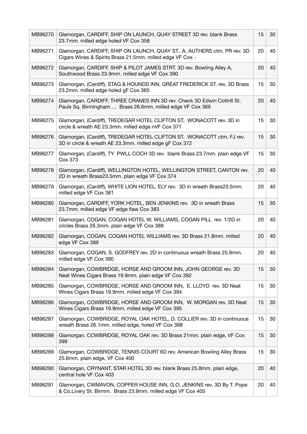| MB96270 | Glamorgan, CARDIFF, SHIP ON LAUNCH, QUAY STREET 3D rev. blank Brass<br>23.7mm. milled edge holed VF Cox 358                           | 15 | 30 |
|---------|---------------------------------------------------------------------------------------------------------------------------------------|----|----|
| MB96271 | Glamorgan, CARDIFF, SHIP ON LAUNCH, QUAY ST A. AUTHERS ctm. PR rev. 3D<br>Cigars Wines & Spirits Brass 21.5mm. milled edge VF Cox -   | 20 | 40 |
| MB96272 | Glamorgan, CARDIFF, SHIP & PILOT JAMES STRT. 3D rev. Bowling Alley A,<br>Southwood Brass 23.9mm. milled edge VF Cox 390               | 20 | 40 |
| MB96273 | Glamorgan, (Cardiff), STAG & HOUNDS INN, GREAT FREDERICK ST. rev. 3D Brass<br>23.2mm. milled edge holed gF Cox 365                    | 15 | 30 |
| MB96274 | Glamorgan, CARDIFF, THREE CRANES INN 3D rev. Check 3D Edwin Cottrill St.<br>Pauls Sq. Birmingham Brass 26.6mm. milled edge VF Cox 369 | 20 | 40 |
| MB96275 | Glamorgan, (Cardiff), TREDEGAR HOTEL CLIFTON ST. WONACOTT rev. 3D in<br>circle & wreath AE 23.3mm. milled edge nVF Cox 371            | 15 | 30 |
| MB96276 | Glamorgan, (Cardiff), TREDEGAR HOTEL CLIFTON ST. WONACOTT ctm. FJ rev.<br>3D in circle & wreath AE 23.3mm. milled edge gF Cox 372     | 15 | 30 |
| MB96277 | Glamorgan, (Cardiff), TY PWLL COCH 3D rev. blank Brass 23.7mm. plain edge VF<br><b>Cox 373</b>                                        | 15 | 30 |
| MB96278 | Glamorgan, (Cardiff), WELLINGTON HOTEL, WELLINGTON STREET, CANTON rev.<br>2D in wreath Brass23.5mm. plain edge VF Cox 374             | 20 | 40 |
| MB96279 | Glamorgan, (Cardiff), WHITE LION HOTEL, ELY rev. 3D in wreath Brass23.5mm.<br>milled edge VF Cox 381                                  | 20 | 40 |
| MB96280 | Glamorgan, CARDIFF, YORK HOTEL, BEN JENKINS rev. 3D in wreath Brass<br>23.7mm. milled edge VF edge flaw Cox 383                       | 15 | 30 |
| MB96281 | Glamorgan, COGAN, COGAN HOTEL W. WILLIAMS, COGAN PILL rev. 1/2D in<br>circles Brass 26.3mm. plain edge VF Cox 388                     | 20 | 40 |
| MB96282 | Glamorgan, COGAN, COGAN HOTEL WILLIAMS rev. 3D Brass 21.8mm. milled<br>edge VF Cox 389                                                | 20 | 40 |
| MB96283 | Glamorgan, COGAN, S. GODFREY rev. 2D in continuous wreath Brass 25.9mm.<br>milled edge VF Cox 390                                     | 20 | 40 |
| MB96284 | Glamorgan, COWBRIDGE, HORSE AND GROOM INN, JOHN GEORGE rev. 3D<br>Neat Wines Cigars Brass 19.9mm. plain edge VF Cox 392               | 15 | 30 |
| MB96285 | Glamorgan, COWBRIDGE, HORSE AND GROOM INN, E. LLOYD rev. 3D Neat<br>Wines Cigars Brass 19.9mm. milled edge VF Cox 394                 | 15 | 30 |
| MB96286 | Glamorgan, COWBRIDGE, HORSE AND GROOM INN, W. MORGAN rev. 3D Neat<br>Wines Cigars Brass 19.9mm. milled edge VF Cox 395                | 15 | 30 |
| MB96287 | Glamorgan, COWBRIDGE, ROYAL OAK HOTEL, D. COLLIER rev. 3D in continuous<br>wreath Brass 26.1mm. milled edge, holed VF Cox 398         | 15 | 30 |
| MB96288 | Glamorgan, COWBRIDGE, ROYAL OAK rev. 3D Brass 21mm. plain edge, VF Cox<br>399                                                         | 15 | 30 |
| MB96289 | Glamorgan, COWBRIDGE, TENNIS COURT 6D rev. American Bowling Alley Brass<br>25.6mm. plain edge, VF Cox 400                             | 15 | 30 |
| MB96290 | Glamorgan, CRYNANT, STAR HOTEL 3D rev. blank Brass 25.8mm. plain edge,<br>central hole VF Cox 403                                     | 20 | 40 |
| MB96291 | Glamorgan, CWMAVON, COPPER HOUSE INN, G.O. JENKINS rev. 3D By T. Pope<br>& Co.Livery St. Birmm. Brass 23.9mm. milled edge VF Cox 405  | 20 | 40 |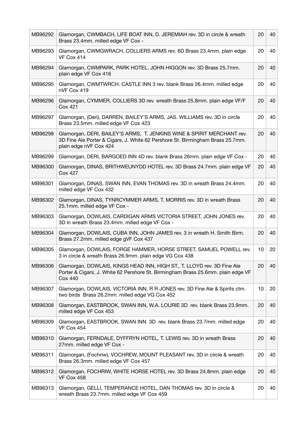| MB96292 | Glamorgan, CWMBACH, LIFE BOAT INN, D. JEREMIAH rev. 3D in circle & wreath<br>Brass 23.4mm. milled edge VF Cox -                                                                    | 20 | 40 |
|---------|------------------------------------------------------------------------------------------------------------------------------------------------------------------------------------|----|----|
| MB96293 | Glamorgan, CWMGWRACH, COLLIERS ARMS rev. 6D Brass 23.4mm. plain edge<br>VF Cox 414                                                                                                 | 20 | 40 |
| MB96294 | Glamorgan, CWMPARK, PARK HOTEL, JOHN HIGGON rev. 3D Brass 25.7mm.<br>plain edge VF Cox 416                                                                                         | 20 | 40 |
| MB96295 | Glamorgan, CWMTWRCH. CASTLE INN 3 rev. blank Brass 26.4mm. milled edge<br>nVF Cox 419                                                                                              | 20 | 40 |
| MB96296 | Glamorgan, CYMMER, COLLIERS 3D rev. wreath Brass 25.8mm. plain edge VF/F<br><b>Cox 421</b>                                                                                         | 20 | 40 |
| MB96297 | Glamorgan, (Deri), DARREN, BAILEY'S ARMS, JAS. WILLIAMS rev. 3D in circle<br>Brass 23.5mm. milled edge VF Cox 423                                                                  | 20 | 40 |
| MB96298 | Glamorgan, DERI, BAILEY'S ARMS, T. JENKINS WINE & SPIRIT MERCHANT rev.<br>3D Fine Ale Porter & Cigars, J. White 62 Pershore St. Birmingham Brass 25.7mm.<br>plain edge nVF Cox 424 | 20 | 40 |
| MB96299 | Glamorgan, DERI, BARGOED INN 4D rev. blank Brass 26mm. plain edge VF Cox -                                                                                                         | 20 | 40 |
| MB96300 | Glamorgan, DINAS, BRITHWEUNYDD HOTEL rev. 3D Brass 24.7mm. plain edge VF<br><b>Cox 427</b>                                                                                         | 20 | 40 |
| MB96301 | Glamorgan, DINAS, SWAN INN, EVAN THOMAS rev. 3D in wreath Brass 24.4mm.<br>milled edge VF Cox 432                                                                                  | 20 | 40 |
| MB96302 | Glamorgan, DINAS, TYNRCYMMER ARMS, T. MORRIS rev. 3D in wreath Brass<br>25.1mm. milled edge VF Cox -                                                                               | 20 | 40 |
| MB96303 | Glamorgan, DOWLAIS, CARDIGAN ARMS VICTORIA STREET, JOHN JONES rev.<br>3D in wreath Brass 23.4mm. milled edge VF Cox -                                                              | 20 | 40 |
| MB96304 | Glamorgan, DOWLAIS, CUBA INN, JOHN JAMES rev. 3 in wreath H. Smith Birm.<br>Brass 27.2mm. milled edge gVF Cox 437                                                                  | 20 | 40 |
| MB96305 | Glamorgan, DOWLAIS, FORGE HAMMER, HORSE STREET, SAMUEL POWELL rev.<br>3 in circle & wreath Brass 26.9mm. plain edge VG Cox 438                                                     | 10 | 20 |
| MB96306 | Glamorgan, DOWLAIS, KINGS HEAD INN, HIGH ST., T. LLOYD rev. 3D Fine Ale<br>Porter & Cigars, J. White 62 Pershore St. Birmingham Brass 25.6mm. plain edge VF<br><b>Cox 440</b>      | 20 | 40 |
| MB96307 | Glamorgan, DOWLAIS, VICTORIA INN, R R JONES rev. 3D Fine Ale & Spirits ctm.<br>two birds Brass 26.2mm. milled edge VG Cox 452                                                      | 10 | 20 |
| MB96308 | Glamorgan, EASTBROOK, SWAN INN, W.A. LOURIE 3D rev. blank Brass 23.9mm.<br>milled edge VF Cox 453                                                                                  | 20 | 40 |
| MB96309 | Glamorgan, EASTBROOK, SWAN INN 3D rev. blank Brass 23.7mm. milled edge<br>VF Cox 454                                                                                               | 20 | 40 |
| MB96310 | Glamorgan, FERNDALE, DYFFRYN HOTEL, T. LEWIS rev. 3D in wreath Brass<br>27mm. milled edge VF Cox -                                                                                 | 20 | 40 |
| MB96311 | Glamorgan, (Fochriw), VOCHREW, MOUNT PLEASANT rev. 3D in circle & wreath<br>Brass 26.3mm. milled edge VF Cox 457                                                                   | 20 | 40 |
| MB96312 | Glamorgan, FOCHRIW, WHITE HORSE HOTEL rev. 3D Brass 24.8mm. plain edge<br>VF Cox 458                                                                                               | 20 | 40 |
| MB96313 | Glamorgan, GELLI, TEMPERANCE HOTEL, DAN THOMAS rev. 3D in circle &<br>wreath Brass 23.7mm. milled edge VF Cox 459                                                                  | 20 | 40 |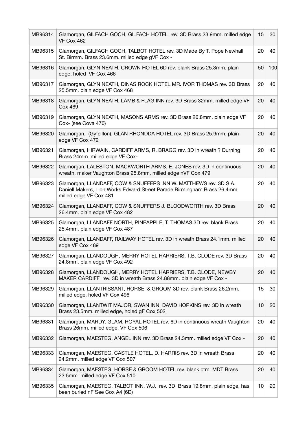| MB96314 | Glamorgan, GILFACH GOCH, GILFACH HOTEL rev. 3D Brass 23.9mm. milled edge<br>VF Cox 462                                                                                 | 15 | 30  |
|---------|------------------------------------------------------------------------------------------------------------------------------------------------------------------------|----|-----|
| MB96315 | Glamorgan, GILFACH GOCH, TALBOT HOTEL rev. 3D Made By T. Pope Newhall<br>St. Birmm. Brass 23.6mm. milled edge gVF Cox -                                                | 20 | 40  |
| MB96316 | Glamorgan, GLYN NEATH, CROWN HOTEL 6D rev. blank Brass 25.3mm. plain<br>edge, holed VF Cox 466                                                                         | 50 | 100 |
| MB96317 | Glamorgan, GLYN NEATH, DINAS ROCK HOTEL MR. IVOR THOMAS rev. 3D Brass<br>25.5mm. plain edge VF Cox 468                                                                 | 20 | 40  |
| MB96318 | Glamorgan, GLYN NEATH, LAMB & FLAG INN rev. 3D Brass 32mm. milled edge VF<br><b>Cox 469</b>                                                                            | 20 | 40  |
| MB96319 | Glamorgan, GLYN NEATH, MASONS ARMS rev. 3D Brass 26.8mm. plain edge VF<br>Cox- (see Cova 470)                                                                          | 20 | 40  |
| MB96320 | Glamorgan, (Gyfeillon), GLAN RHONDDA HOTEL rev. 3D Brass 25.9mm. plain<br>edge VF Cox 472                                                                              | 20 | 40  |
| MB96321 | Glamorgan, HIRWAIN, CARDIFF ARMS, R. BRAGG rev. 3D in wreath ? Durning<br>Brass 24mm. milled edge VF Cox-                                                              | 20 | 40  |
| MB96322 | Glamorgan, LALESTON, MACKWORTH ARMS, E. JONES rev. 3D in continuous<br>wreath, maker Vaughton Brass 25.8mm. milled edge nVF Cox 479                                    | 20 | 40  |
| MB96323 | Glamorgan, LLANDAFF, COW & SNUFFERS INN W. MATTHEWS rev. 3D S.A.<br>Daniell Makers, Lion Works Edward Street Parade Birmingham Brass 26.4mm.<br>milled edge VF Cox 481 | 20 | 40  |
| MB96324 | Glamorgan, LLANDAFF, COW & SNUFFERS J. BLOODWORTH rev. 3D Brass<br>26.4mm. plain edge VF Cox 482                                                                       | 20 | 40  |
| MB96325 | Glamorgan, LLANDAFF NORTH, PINEAPPLE, T. THOMAS 3D rev. blank Brass<br>25.4mm. plain edge VF Cox 487                                                                   | 20 | 40  |
| MB96326 | Glamorgan, LLANDAFF, RAILWAY HOTEL rev. 3D in wreath Brass 24.1mm. milled<br>edge VF Cox 489                                                                           | 20 | 40  |
| MB96327 | Glamorgan, LLANDOUGH, MERRY HOTEL HARRIERS, T.B. CLODE rev. 3D Brass<br>24.8mm. plain edge VF Cox 492                                                                  | 20 | 40  |
| MB96328 | Glamorgan, LLANDOUGH, MERRY HOTEL HARRIERS, T.B. CLODE, NEWBY<br>MAKER CARDIFF rev. 3D in wreath Brass 24.88mm. plain edge VF Cox -                                    | 20 | 40  |
| MB96329 | Glamorgan, LLANTRISSANT, HORSE & GROOM 3D rev. blank Brass 26.2mm.<br>milled edge, holed VF Cox 496                                                                    | 15 | 30  |
| MB96330 | Glamorgan, LLANTWIT MAJOR, SWAN INN, DAVID HOPKINS rev. 3D in wreath<br>Brass 23.5mm. milled edge, holed gF Cox 502                                                    | 10 | 20  |
| MB96331 | Glamorgan, MARDY. GLAM, ROYAL HOTEL rev. 6D in continuous wreath Vaughton<br>Brass 26mm. milled edge, VF Cox 506                                                       | 20 | 40  |
| MB96332 | Glamorgan, MAESTEG, ANGEL INN rev. 3D Brass 24.3mm. milled edge VF Cox -                                                                                               | 20 | 40  |
| MB96333 | Glamorgan, MAESTEG, CASTLE HOTEL, D. HARRIS rev. 3D in wreath Brass<br>24.2mm. milled edge VF Cox 507                                                                  | 20 | 40  |
| MB96334 | Glamorgan, MAESTEG, HORSE & GROOM HOTEL rev. blank ctm. MDT Brass<br>23.5mm. milled edge VF Cox 510                                                                    | 20 | 40  |
| MB96335 | Glamorgan, MAESTEG, TALBOT INN, W.J. rev. 3D Brass 19.8mm. plain edge, has<br>been buried nF See Cox A4 (6D)                                                           | 10 | 20  |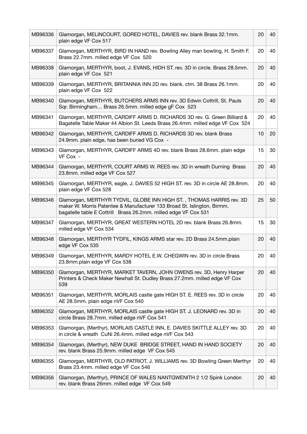| MB96336 | Glamorgan, MELINCOURT, GORED HOTEL, DAVIES rev. blank Brass 32.1mm.<br>plain edge VF Cox 517                                                                                                                       | 20 | 40 |
|---------|--------------------------------------------------------------------------------------------------------------------------------------------------------------------------------------------------------------------|----|----|
| MB96337 | Glamorgan, MERTHYR, BIRD IN HAND rev. Bowling Alley man bowling, H. Smith F.<br>Brass 22.7mm. milled edge VF Cox 520                                                                                               | 20 | 40 |
| MB96338 | Glamorgan, MERTHYR, boot, J. EVANS, HIDH ST. rev. 3D in circle. Brass 28.5mm.<br>plain edge VF Cox 521                                                                                                             | 20 | 40 |
| MB96339 | Glamorgan, MERTHYR, BRITANNIA INN 2D rev. blank. ctm. 38 Brass 26.1mm.<br>plain edge VF Cox 522                                                                                                                    | 20 | 40 |
| MB96340 | Glamorgan, MERTHYR, BUTCHERS ARMS INN rev. 3D Edwin Cottrill, St. Pauls<br>Sqr. Birmingham Brass 26.5mm. milled edge gF Cox 523                                                                                    | 20 | 40 |
| MB96341 | Glamorgan, MERTHYR, CARDIFF ARMS D. RICHARDS 3D rev. G. Green Billiard &<br>Bagatelle Table Maker 44 Albion St. Leeds Brass 26.4mm. milled edge VF Cox 524                                                         | 20 | 40 |
| MB96342 | Glamorgan, MERTHYR, CARDIFF ARMS D. RICHARDS 3D rev. blank Brass<br>24.9mm. plain edge, has been buried VG Cox -                                                                                                   | 10 | 20 |
| MB96343 | Glamorgan, MERTHYR, CARDIFF ARMS 4D rev. blank Brass 28.6mm. plain edge<br>VF Cox -                                                                                                                                | 15 | 30 |
| MB96344 | Glamorgan, MERTHYR, COURT ARMS W. REES rev. 3D in wreath Durning Brass<br>23.8mm. milled edge VF Cox 527                                                                                                           | 20 | 40 |
| MB96345 | Glamorgan, MERTHYR, eagle, J. DAVIES 52 HIGH ST. rev. 3D in circle AE 28.8mm.<br>plain edge VF Cox 528                                                                                                             | 20 | 40 |
| MB96346 | Glamorgan, MERTHYR TYDVIL, GLOBE INN HIGH ST., THOMAS HARRIS rev. 3D<br>maker W. Morris Patentee & Manufacturer 133 Broad St. Islington, Birmm.<br>bagatelle table E Cottrill Brass 26.2mm. milled edge VF Cox 531 | 25 | 50 |
| MB96347 | Glamorgan, MERTHYR, GREAT WESTERN HOTEL 2D rev. blank Brass 26.8mm.<br>milled edge VF Cox 534                                                                                                                      | 15 | 30 |
| MB96348 | Glamorgan, MERTHYR TYDFIL, KINGS ARMS star rev. 2D Brass 24.5mm.plain<br>edge VF Cox 535                                                                                                                           | 20 | 40 |
| MB96349 | Glamorgan, MERTHYR, MARDY HOTEL E.W. CHEGWIN rev. 3D in circle Brass<br>23.8mm.plain edge VF Cox 538                                                                                                               | 20 | 40 |
| MB96350 | Glamorgan, MERTHYR, MARKET TAVERN, JOHN OWENS rev. 3D, Henry Harper<br>Printers & Check Maker Newhall St. Dudley Brass 27.2mm. milled edge VF Cox<br>539                                                           | 20 | 40 |
| MB96351 | Glamorgan, MERTHYR, MORLAIS castle gate HIGH ST. E. REES rev. 3D in circle<br>AE 28.5mm. plain edge nVF Cox 540                                                                                                    | 20 | 40 |
| MB96352 | Glamorgan, MERTHYR, MORLAIS castle gate HIGH ST. J. LEONARD rev. 3D in<br>circle Brass 28.7mm. milled edge nVF Cox 541                                                                                             | 20 | 40 |
| MB96353 | Glamorgan, (Merthyr), MORLAIS CASTLE INN, E. DAVIES SKITTLE ALLEY rev. 3D<br>in circle & wreath CuNi 26.4mm. milled edge nVF Cox 543                                                                               | 20 | 40 |
| MB96354 | Glamorgan, (Merthyr), NEW DUKE BRIDGE STREET, HAND IN HAND SOCIETY<br>rev. blank Brass 25.9mm. milled edge VF Cox 545                                                                                              | 20 | 40 |
| MB96355 | Glamorgan, MERTHYR, OLD PATRIOT, J. WILLIAMS rev. 3D Bowling Green Merthyr<br>Brass 23.4mm. milled edge VF Cox 546                                                                                                 | 20 | 40 |
| MB96356 | Glamorgan, (Merthyr), PRINCE OF WALES NANTGWENITH 2 1/2 Spink London<br>rev. blank Brass 26mm. milled edge VF Cox 549                                                                                              | 20 | 40 |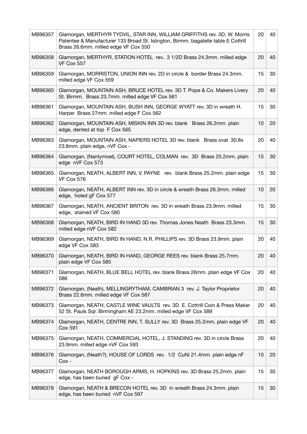| MB96357 | Glamorgan, MERTHYR TYDVIL, STAR INN, WILLIAM GRIFFITHS rev. 3D, W. Morris<br>Patentee & Manufacturer 133 Broad St. Islington, Birmm. bagatelle table E Cottrill<br>Brass 26.6mm. milled edge VF Cox 550 | 20 | 40 |
|---------|---------------------------------------------------------------------------------------------------------------------------------------------------------------------------------------------------------|----|----|
| MB96358 | Glamorgan, MERTHYR, STATION HOTEL rev 3 1/2D Brass 24.3mm. milled edge<br><b>VF Cox 557</b>                                                                                                             | 20 | 40 |
| MB96359 | Glamorgan, MORRISTON, UNION INN rev. 2D in circle & border Brass 24.3mm.<br>milled edge VF Cox 559                                                                                                      | 15 | 30 |
| MB96360 | Glamorgan, MOUNTAIN ASH, BRUCE HOTEL rev. 3D T. Pope & Co. Makers Livery<br>St. Birmm. Brass 23.7mm. milled edge VF Cox 561                                                                             | 20 | 40 |
| MB96361 | Glamorgan, MOUNTAIN ASH, BUSH INN, GEORGE WYATT rev. 3D in wreath H.<br>Harper Brass 27mm. milled edge F Cox 562                                                                                        | 15 | 30 |
| MB96362 | Glamorgan, MOUNTAIN ASH, MISKIN INN 3D rev. blank Brass 26.2mm. plain<br>edge, dented at top F Cox 565                                                                                                  | 10 | 20 |
| MB96363 | Glamorgan, MOUNTAIN ASH, NAPIERS HOTEL 3D rev. blank Brass oval 30.8x<br>23.8mm. plain edge, nVF Cox -                                                                                                  | 20 | 40 |
| MB96364 | Glamorgan, (Nantymoel), COURT HOTEL, COLMAN rev. 3D Brass 25.2mm. plain<br>edge nVF Cox 573                                                                                                             | 15 | 30 |
| MB96365 | Glamorgan, NEATH, ALBERT INN, V. PAYNE rev. blank Brass 25.2mm. plain edge<br>VF Cox 576                                                                                                                | 15 | 30 |
| MB96366 | Glamorgan, NEATH, ALBERT INN rev. 3D in circle & wreath Brass 26.3mm. milled<br>edge, holed gF Cox 577                                                                                                  | 10 | 20 |
| MB96367 | Glamorgan, NEATH, ANCIENT BRITON rev. 3D in wreath Brass 23.9mm. milled<br>edge, stained VF Cox 580                                                                                                     | 15 | 30 |
| MB96368 | Glamorgan, NEATH, BIRD IN HAND 3D rev. Thomas Jones Neath Brass 23.3mm.<br>milled edge nVF Cox 582                                                                                                      | 15 | 30 |
| MB96369 | Glamorgan, NEATH, BIRD IN HAND, N.R. PHILLIPS rev. 3D Brass 23.9mm. plain<br>edge VF Cox 583                                                                                                            | 20 | 40 |
| MB96370 | Glamorgan, NEATH, BIRD IN HAND, GEORGE REES rev. blank Brass 25.7mm.<br>plain edge VF Cox 585                                                                                                           | 20 | 40 |
| MB96371 | Glamorgan, NEATH, BLUE BELL HOTEL rev. blank Brass 26mm. plain edge VF Cox<br>586                                                                                                                       | 20 | 40 |
| MB96372 | Glamorgan, (Neath), MELLINGRYTHAM, CAMBRIAN 3 rev. J. Taylor Proprietor<br>Brass 22.6mm. milled edge VF Cox 587                                                                                         | 20 | 40 |
| MB96373 | Glamorgan, NEATH, CASTLE WINE VAULTS rev. 3D E. Cottrill Coin & Press Maker<br>52 St. Pauls Sqr. Birmingham AE 23.2mm. milled edge VF Cox 589                                                           | 20 | 40 |
| MB96374 | Glamorgan, NEATH, CENTRE INN, T. SULLY rev. 3D Brass 25.2mm. plain edge VF<br><b>Cox 591</b>                                                                                                            | 20 | 40 |
| MB96375 | Glamorgan, NEATH, COMMERCIAL HOTEL, J. STANDING rev. 3D in circle Brass<br>23.9mm. milled edge nVF Cox 593                                                                                              | 20 | 40 |
| MB96376 | Glamorgan, (Neath?), HOUSE OF LORDS rev. 1/2 CuNi 21.4mm. plain edge nF<br>$Cox -$                                                                                                                      | 10 | 20 |
| MB96377 | Glamorgan, NEATH BOROUGH ARMS, H. HOPKINS rev. 3D Brass 25.2mm. plain<br>edge, has been buried gF Cox -                                                                                                 | 15 | 30 |
| MB96378 | Glamorgan, NEATH & BRECON HOTEL rev. 3D in wreath Brass 24.3mm. plain<br>edge, has been buried nVF Cox 597                                                                                              | 15 | 30 |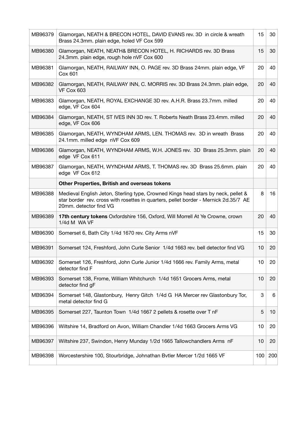| MB96379 | Glamorgan, NEATH & BRECON HOTEL, DAVID EVANS rev. 3D in circle & wreath<br>Brass 24.3mm. plain edge, holed VF Cox 599                                                                               | 15  | 30  |
|---------|-----------------------------------------------------------------------------------------------------------------------------------------------------------------------------------------------------|-----|-----|
| MB96380 | Glamorgan, NEATH, NEATH& BRECON HOTEL, H. RICHARDS rev. 3D Brass<br>24.3mm. plain edge, rough hole nVF Cox 600                                                                                      | 15  | 30  |
| MB96381 | Glamorgan, NEATH, RAILWAY INN, O. PAGE rev. 3D Brass 24mm. plain edge, VF<br>Cox 601                                                                                                                | 20  | 40  |
| MB96382 | Glamorgan, NEATH, RAILWAY INN, C. MORRIS rev. 3D Brass 24.3mm. plain edge,<br>VF Cox 603                                                                                                            | 20  | 40  |
| MB96383 | Glamorgan, NEATH, ROYAL EXCHANGE 3D rev. A.H.R. Brass 23.7mm. milled<br>edge, VF Cox 604                                                                                                            | 20  | 40  |
| MB96384 | Glamorgan, NEATH, ST IVES INN 3D rev. T. Roberts Neath Brass 23.4mm. milled<br>edge, VF Cox 606                                                                                                     | 20  | 40  |
| MB96385 | Glamorgan, NEATH, WYNDHAM ARMS, LEN. THOMAS rev. 3D in wreath Brass<br>24.1mm. milled edge nVF Cox 609                                                                                              | 20  | 40  |
| MB96386 | Glamorgan, NEATH, WYNDHAM ARMS, W.H. JONES rev. 3D Brass 25.3mm. plain<br>edge VF Cox 611                                                                                                           | 20  | 40  |
| MB96387 | Glamorgan, NEATH, WYNDHAM ARMS, T. THOMAS rev. 3D Brass 25.6mm. plain<br>edge VF Cox 612                                                                                                            | 20  | 40  |
|         | <b>Other Properties, British and overseas tokens</b>                                                                                                                                                |     |     |
| MB96388 | Medieval English Jeton, Sterling type, Crowned Kings head stars by neck, pellet &<br>star border rev. cross with rosettes in quarters, pellet border - Mernick 2d.35/7 AE<br>20mm. detector find VG | 8   | 16  |
| MB96389 | 17th century tokens Oxfordshire 156, Oxford, Will Morrell At Ye Crowne, crown<br>1/4d M WA VF                                                                                                       | 20  | 40  |
| MB96390 | Somerset 6, Bath City 1/4d 1670 rev. City Arms nVF                                                                                                                                                  | 15  | 30  |
| MB96391 | Somerset 124, Freshford, John Curle Senior 1/4d 1663 rev. bell detector find VG                                                                                                                     | 10  | 20  |
| MB96392 | Somerset 126, Freshford, John Curle Junior 1/4d 1666 rev. Family Arms, metal<br>detector find F                                                                                                     | 10  | 20  |
| MB96393 | Somerset 138, Frome, William Whitchurch 1/4d 1651 Grocers Arms, metal<br>detector find gF                                                                                                           | 10  | 20  |
| MB96394 | Somerset 148, Glastonbury, Henry Gitch 1/4d G HA Mercer rev Glastonbury Tor,<br>metal detector find G                                                                                               | 3   | 6   |
| MB96395 | Somerset 227, Taunton Town 1/4d 1667 2 pellets & rosette over T nF                                                                                                                                  | 5   | 10  |
| MB96396 | Wiltshire 14, Bradford on Avon, William Chandler 1/4d 1663 Grocers Arms VG                                                                                                                          | 10  | 20  |
| MB96397 | Wiltshire 237, Swindon, Henry Munday 1/2d 1665 Tallowchandlers Arms nF                                                                                                                              | 10  | 20  |
| MB96398 | Worcestershire 100, Stourbridge, Johnathan Bytler Mercer 1/2d 1665 VF                                                                                                                               | 100 | 200 |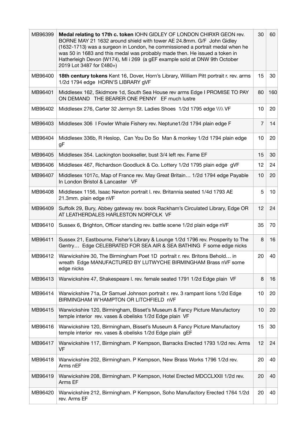| MB96399 | Medal relating to 17th c. token IOHN GIDLEY OF LONDON CHIRXR GEON rev.<br>BORNE MAY 21 1632 around shield with tower AE 24.8mm. G/F John Gidley<br>(1632-1713) was a surgeon in London, he commissioned a portrait medal when he<br>was 50 in 1683 and this medal was probably made then. He issued a token in<br>Hatherleigh Devon (W174), MI i 269 (a gEF example sold at DNW 9th October<br>2019 Lot 3487 for £480+) | 30             | 60  |
|---------|-------------------------------------------------------------------------------------------------------------------------------------------------------------------------------------------------------------------------------------------------------------------------------------------------------------------------------------------------------------------------------------------------------------------------|----------------|-----|
| MB96400 | 18th century tokens Kent 16, Dover, Horn's Library, William Pitt portrait r. rev. arms<br>1/2d 1794 edge HORN'S LIBRARY gVF                                                                                                                                                                                                                                                                                             | 15             | 30  |
| MB96401 | Middlesex 162, Skidmore 1d, South Sea House rev arms Edge I PROMISE TO PAY<br>ON DEMAND THE BEARER ONE PENNY EF much lustre                                                                                                                                                                                                                                                                                             | 80             | 160 |
| MB96402 | Middlesex 276, Carter 32 Jermyn St. Ladies Shoes 1/2d 1795 edge \\\\ VF                                                                                                                                                                                                                                                                                                                                                 | 10             | 20  |
| MB96403 | Middlesex 306 I Fowler Whale Fishery rev. Neptune1/2d 1794 plain edge F                                                                                                                                                                                                                                                                                                                                                 | $\overline{7}$ | 14  |
| MB96404 | Middlesex 336b, R Heslop, Can You Do So Man & monkey 1/2d 1794 plain edge<br>gF                                                                                                                                                                                                                                                                                                                                         | 10             | 20  |
| MB96405 | Middlesex 354. Lackington bookseller, bust 3/4 left rev. Fame EF                                                                                                                                                                                                                                                                                                                                                        | 15             | 30  |
| MB96406 | Middlesex 467, Richardson Goodluck & Co. Lottery 1/2d 1795 plain edge gVF                                                                                                                                                                                                                                                                                                                                               | 12             | 24  |
| MB96407 | Middlesex 1017c, Map of France rev. May Great Britain 1/2d 1794 edge Payable<br>In London Bristol & Lancaster VF                                                                                                                                                                                                                                                                                                        | 10             | 20  |
| MB96408 | Middlesex 1156, Isaac Newton portrait I. rev. Britannia seated 1/4d 1793 AE<br>21.3mm. plain edge nVF                                                                                                                                                                                                                                                                                                                   | 5              | 10  |
| MB96409 | Suffolk 29, Bury, Abbey gateway rev. book Rackham's Circulated Library, Edge OR<br>AT LEATHERDALES HARLESTON NORFOLK VF                                                                                                                                                                                                                                                                                                 | 12             | 24  |
| MB96410 | Sussex 6, Brighton, Officer standing rev. battle scene 1/2d plain edge nVF                                                                                                                                                                                                                                                                                                                                              | 35             | 70  |
| MB96411 | Sussex 21, Eastbourne, Fisher's Library & Lounge 1/2d 1796 rev. Prosperity to The<br>Gentry Edge CELEBRATED FOR SEA AIR & SEA BATHING F some edge nicks                                                                                                                                                                                                                                                                 | 8              | 16  |
| MB96412 | Warwickshire 30, The Birmingham Poet 1D portrait r. rev. Britons Behold in<br>wreath Edge MANUFACTURED BY LUTWYCHE BIRMINGHAM Brass nVF some<br>edge nicks                                                                                                                                                                                                                                                              | 20             | 40  |
| MB96413 | Warwickshire 47, Shakespeare I. rev. female seated 1791 1/2d Edge plain VF                                                                                                                                                                                                                                                                                                                                              | 8              | 16  |
| MB96414 | Warwickshire 71a, Dr Samuel Johnson portrait r. rev. 3 rampant lions 1/2d Edge<br>BIRMINGHAM W'HAMPTON OR LITCHFIELD nVF                                                                                                                                                                                                                                                                                                | 10             | 20  |
| MB96415 | Warwickshire 120, Birmingham, Bisset's Museum & Fancy Picture Manufactory<br>temple interior rev. vases & obelisks 1/2d Edge plain VF                                                                                                                                                                                                                                                                                   | 10             | 20  |
| MB96416 | Warwickshire 120, Birmingham, Bisset's Museum & Fancy Picture Manufactory<br>temple interior rev. vases & obelisks 1/2d Edge plain gEF                                                                                                                                                                                                                                                                                  | 15             | 30  |
| MB96417 | Warwickshire 117, Birmingham. P Kempson, Barracks Erected 1793 1/2d rev. Arms<br>VF                                                                                                                                                                                                                                                                                                                                     | 12             | 24  |
| MB96418 | Warwickshire 202, Birmingham. P Kempson, New Brass Works 1796 1/2d rev.<br>Arms nEF                                                                                                                                                                                                                                                                                                                                     | 20             | 40  |
| MB96419 | Warwickshire 208, Birmingham. P Kempson, Hotel Erected MDCCLXXII 1/2d rev.<br>Arms EF                                                                                                                                                                                                                                                                                                                                   | 20             | 40  |
| MB96420 | Warwickshire 212, Birmingham. P Kempson, Soho Manufactory Erected 1764 1/2d<br>rev. Arms EF                                                                                                                                                                                                                                                                                                                             | 20             | 40  |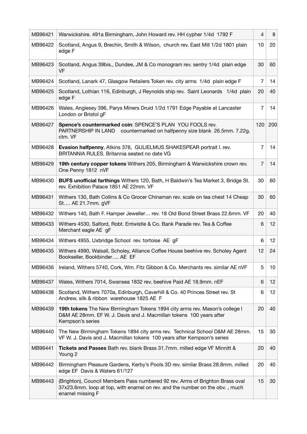| MB96421 | Warwickshire. 491a Birmingham, John Howard rev. HH cypher 1/4d 1792 F                                                                                                             | $\overline{4}$ | 8   |
|---------|-----------------------------------------------------------------------------------------------------------------------------------------------------------------------------------|----------------|-----|
| MB96422 | Scotland, Angus 9, Brechin, Smith & Wilson, church rev. East Mill 1/2d 1801 plain<br>edge F                                                                                       | 10             | 20  |
| MB96423 | Scotland, Angus 39bis., Dundee, JM & Co monogram rev. sentry 1/4d plain edge<br><b>VF</b>                                                                                         | 30             | 60  |
| MB96424 | Scotland, Lanark 47, Glasgow Retailers Token rev. city arms 1/4d plain edge F                                                                                                     | 7              | 14  |
| MB96425 | Scotland, Lothian 116, Edinburgh, J Reynolds ship rev. Saint Leonards 1/4d plain<br>edge F                                                                                        | 20             | 40  |
| MB96426 | Wales, Anglesey 396, Parys Miners Druid 1/2d 1791 Edge Payable at Lancaster<br>London or Bristol gF                                                                               | 7              | 14  |
| MB96427 | Spence's countermarked coin: SPENCE'S PLAN YOU FOOLS rev.<br>PARTNERSHIP IN LAND countermarked on halfpenny size blank 26.5mm. 7.22g.<br>ctm. VF                                  | 120            | 200 |
| MB96428 | Evasion halfpenny, Atkins 376, GULIELMUS SHAKESPEAR portrait I. rev.<br>BRITANNIA RULES. Britannia seated no date VG                                                              | 7              | 14  |
| MB96429 | 19th century copper tokens Withers 205, Birmingham & Warwickshire crown rev.<br>One Penny 1812 nVF                                                                                | $\overline{7}$ | 14  |
| MB96430 | BUFS unofficial farthings Withers 120, Bath, H Baldwin's Tea Market 3, Bridge St.<br>rev. Exhibition Palace 1851 AE 22mm. VF                                                      | 30             | 60  |
| MB96431 | Withers 130, Bath Collins & Co Grocer Chinaman rev. scale on tea chest 14 Cheap<br>St AE 21.7mm. gVF                                                                              | 30             | 60  |
| MB96432 | Withers 140, Bath F. Hamper Jeweller rev. 18 Old Bond Street Brass 22.6mm. VF                                                                                                     | 20             | 40  |
| MB96433 | Withers 4530, Salford, Robt. Entwistle & Co. Bank Parade rev. Tea & Coffee<br>Merchant eagle AE gF                                                                                | 6              | 12  |
| MB96434 | Withers 4955, Uxbridge School rev. tortoise AE gF                                                                                                                                 | 6              | 12  |
| MB96435 | Withers 4990, Walsall, Scholey, Alliance Coffee House beehive rev. Scholey Agent<br>Bookseller, Bookbinder AE EF                                                                  | 12             | 24  |
| MB96436 | Ireland, Withers 5740, Cork, Wm. Fitz Gibbon & Co. Merchants rev. similar AE nVF                                                                                                  | 5              | 10  |
| MB96437 | Wales, Withers 7014, Swansea 1832 rev. beehive Paid AE 18.9mm. nEF                                                                                                                | 6              | 12  |
| MB96438 | Scotland, Withers 7070a, Edinburgh, Caverhill & Co. 40 Princes Street rev. St<br>Andrew, silk & ribbon warehouse 1825 AE F                                                        | 6              | 12  |
| MB96439 | 19th tokens The New Birmingham Tokens 1894 city arms rev. Mason's college I<br>D&M AE 28mm. EF W. J. Davis and J. Macmillan tokens 100 years after<br>Kempson's series            | 20             | 40  |
| MB96440 | The New Birmingham Tokens 1894 city arms rev. Technical School D&M AE 28mm.<br>VF W. J. Davis and J. Macmillan tokens 100 years after Kempson's series                            | 15             | 30  |
| MB96441 | Tickets and Passes Bath rev. blank Brass 31.7mm. milled edge VF Minnitt &<br>Young 2                                                                                              | 20             | 40  |
| MB96442 | Birmingham Pleasure Gardens, Kerby's Pools 3D rev. similar Brass 28.8mm. milled<br>edge EF Davis & Waters 61/127                                                                  | 20             | 40  |
| MB96443 | (Brighton), Council Members Pass numbered 92 rev. Arms of Brighton Brass oval<br>37x23.6mm. loop at top, with enamel on rev. and the number on the obv., much<br>enamel missing F | 15             | 30  |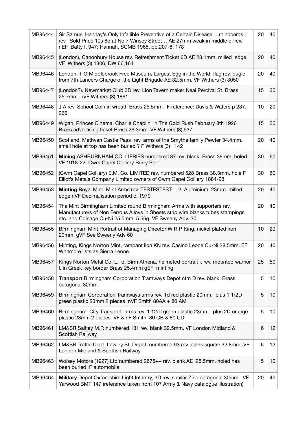| MB96444 | Sir Samuel Hannay's Only Infallible Preventive of a Certain Disease rhinoceros r.<br>rev. Sold Price 10s 6d at No 7 Winsey Street AE 27mm weak in middle of rev.<br>nEF Batty I, 947; Hannah, SCMB 1965, pp.207-8; 178 | 20 | 40 |
|---------|------------------------------------------------------------------------------------------------------------------------------------------------------------------------------------------------------------------------|----|----|
| MB96445 | (London), Canonbury House rev. Refreshment Ticket 6D AE 28.1mm. milled edge<br>VF Withers (3) 1306, DW 66,164                                                                                                          | 20 | 40 |
| MB96446 | London, T G Middlebrook Free Museum, Largest Egg in the World, flag rev. bugle<br>from 7th Lancers Charge of the Light Brigade AE 32.5mm. VF Withers (3) 3050                                                          | 20 | 40 |
| MB96447 | (London?). Newmarket Club 3D rev. Lion Tavern maker Neal Percival St. Brass<br>25.7mm. nVF Withers (3) 1861                                                                                                            | 15 | 30 |
| MB96448 | J A rev. School Coin in wreath Brass 25.5mm. F reference: Davis & Waters p 237,<br>266                                                                                                                                 | 10 | 20 |
| MB96449 | Wigan, Princes Cinema, Charlie Chaplin in The Gold Rush February 8th 1926<br>Brass advertising ticket Brass 26.3mm. VF Withers (3) 937                                                                                 | 15 | 30 |
| MB96450 | Scotland, Methven Castle Pass rev. arms of the Smythe family Pewter 34.4mm.<br>small hole at top has been buried ? F Withers (3) 1142                                                                                  | 20 | 40 |
| MB96451 | Mining ASHBURNHAM COLLIERIES numbered 87 rev. blank Brass 38mm. holed<br>VF 1918-22 Cwm Capel Colliery Burry Port                                                                                                      | 30 | 60 |
| MB96452 | (Cwm Capel Colliery) E.M. Co. LIMITED rev. numbered 528 Brass 38.3mm. hole F<br>Elliot's Metals Company Limited owners of Cwm Capel Colliery 1884-98                                                                   | 30 | 60 |
| MB96453 | Minting Royal Mint, Mint Arms rev. TESTESTEST  2 Aluminium 23mm. milled<br>edge nVF Decimalisation period c. 1970                                                                                                      | 20 | 40 |
| MB96454 | The Mint Birmingham Limited round Birmingham Arms with supporters rev.<br>Manufacturers of Non Ferrous Alloys in Sheets strip wire blanks tubes stampings<br>etc. and Coinage Cu-Ni 25.5mm. 5.56g. VF Sweeny Adv. 30   | 20 | 40 |
| MB96455 | Birmingham Mint Portrait of Managing Director W R P King. nickel plated iron<br>29mm. gVF See Sweeny Adv 60                                                                                                            | 10 | 20 |
| MB96456 | Minting, Kings Norton Mint, rampant lion KN rev. Casino Leone Cu-Ni 28.5mm. EF<br>Whitmore lists as Sierra Leone                                                                                                       | 20 | 40 |
| MB96457 | Kings Norton Metal Co. L. d. Birm Athena, helmeted portrait I. rev. mounted warrior<br>I. in Greek key border Brass 25.4mm gEF minting                                                                                 | 25 | 50 |
| MB96458 | Transport Birmingham Corporation Tramways Depot ctm D rev. blank Brass<br>octagonal 32mm.                                                                                                                              | 5  | 10 |
| MB96459 | Birmingham Corporation Tramways arms rev. 1d red plastic 20mm. plus 1 1/2D<br>green plastic 23mm 2 pieces nVF Smith 80AA + 80 AM                                                                                       | 5  | 10 |
| MB96460 | Birmingham City Transport arms rev. 1 12/d green plastic 23mm. plus 2D orange<br>plastic 23mm 2 pieces VF & nF Smith 80 CB & 80 CD                                                                                     | 5  | 10 |
| MB96461 | LM&SR Saltley M.P. numbered 131 rev. blank 32.5mm. VF London Midland &<br>Scottish Railway                                                                                                                             | 6  | 12 |
| MB96462 | LM&SR Traffic Dept. Lawley St. Depot. numbered 93 rev. blank square 32.8mm. VF<br>London Midland & Scottish Railway                                                                                                    | 6  | 12 |
| MB96463 | Wolsey Motors (1927) Ltd numbered 2675++ rev. blank AE 28.5mm. holed has<br>been buried F automobile                                                                                                                   | 5  | 10 |
| MB96464 | Military Depot Oxfordshire Light Infantry, 3D rev. similar Zinc octagonal 30mm. VF<br>Yarwood BMT 147 (reference taken from 107 Army & Navy catalogue illustration)                                                    | 20 | 40 |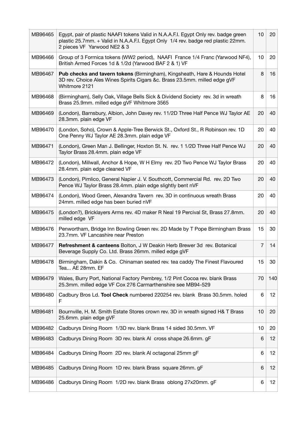| MB96465 | Egypt, pair of plastic NAAFI tokens Valid in N.A.A.F.I. Egypt Only rev. badge green<br>plastic 25.7mm. + Valid in N.A.A.F.I. Egypt Only 1/4 rev. badge red plastic 22mm.<br>2 pieces VF Yarwood NE2 & 3 | 10             | 20  |
|---------|---------------------------------------------------------------------------------------------------------------------------------------------------------------------------------------------------------|----------------|-----|
| MB96466 | Group of 3 Formica tokens (WW2 period), NAAFI France 1/4 Franc (Yarwood NF4),<br>British Armed Forces 1d & 1/2d (Yarwood BAF 2 & 1) VF                                                                  | 10             | 20  |
| MB96467 | Pub checks and tavern tokens (Birmingham), Kingsheath, Hare & Hounds Hotel<br>3D rev. Choice Ales Wines Spirits Cigars &c. Brass 23.5mm. milled edge gVF<br>Whitmore 2121                               | 8              | 16  |
| MB96468 | (Birmingham), Selly Oak, Village Bells Sick & Dividend Society rev. 3d in wreath<br>Brass 25.9mm. milled edge gVF Whitmore 3565                                                                         | 8              | 16  |
| MB96469 | (London), Barnsbury, Albion, John Davey rev. 11/2D Three Half Pence WJ Taylor AE<br>28.3mm. plain edge VF                                                                                               | 20             | 40  |
| MB96470 | (London, Soho), Crown & Apple-Tree Berwick St., Oxford St., R Robinson rev. 1D<br>One Penny WJ Taylor AE 28.3mm. plain edge VF                                                                          | 20             | 40  |
| MB96471 | (London), Green Man J. Bellinger, Hoxton St. N. rev. 1 1/2D Three Half Pence WJ<br>Taylor Brass 28.4mm. plain edge VF                                                                                   | 20             | 40  |
| MB96472 | (London), Millwall, Anchor & Hope, W H Elmy rev. 2D Two Pence WJ Taylor Brass<br>28.4mm. plain edge cleaned VF                                                                                          | 20             | 40  |
| MB96473 | (London), Pimlico, General Napier J. V. Southcott, Commercial Rd. rev. 2D Two<br>Pence WJ Taylor Brass 28.4mm. plain edge slightly bent nVF                                                             | 20             | 40  |
| MB96474 | (London), Wood Green, Alexandra Tavern rev. 3D in continuous wreath Brass<br>24mm. milled edge has been buried nVF                                                                                      | 20             | 40  |
| MB96475 | (London?), Bricklayers Arms rev. 4D maker R Neal 19 Percival St, Brass 27.8mm.<br>milled edge VF                                                                                                        | 20             | 40  |
| MB96476 | Penwortham, Bridge Inn Bowling Green rev. 2D Made by T Pope Birmingham Brass<br>23.7mm. VF Lancashire near Preston                                                                                      | 15             | 30  |
| MB96477 | Refreshment & canteens Bolton, J W Deakin Herb Brewer 3d rev. Botanical<br>Beverage Supply Co. Ltd. Brass 26mm. milled edge gVF                                                                         | $\overline{7}$ | 14  |
| MB96478 | Birmingham, Dakin & Co. Chinaman seated rev. tea caddy The Finest Flavoured<br>Tea AE 28mm. EF                                                                                                          | 15             | 30  |
| MB96479 | Wales, Burry Port, National Factory Pembrey, 1/2 Pint Cocoa rev. blank Brass<br>25.3mm. milled edge VF Cox 276 Carmarthenshire see MB94-529                                                             | 70             | 140 |
| MB96480 | Cadbury Bros Ld. Tool Check numbered 220254 rev. blank Brass 30.5mm. holed<br>F                                                                                                                         | 6              | 12  |
| MB96481 | Bournville, H. M. Smith Estate Stores crown rev. 3D in wreath signed H& T Brass<br>25.6mm. plain edge gVF                                                                                               | 10             | 20  |
| MB96482 | Cadburys Dining Room 1/3D rev. blank Brass 14 sided 30.5mm. VF                                                                                                                                          | 10             | 20  |
| MB96483 | Cadburys Dining Room 3D rev. blank AI cross shape 26.6mm. gF                                                                                                                                            | 6              | 12  |
| MB96484 | Cadburys Dining Room 2D rev. blank AI octagonal 25mm gF                                                                                                                                                 | 6              | 12  |
| MB96485 | Cadburys Dining Room 1D rev. blank Brass square 26mm. gF                                                                                                                                                | 6              | 12  |
| MB96486 | Cadburys Dining Room 1/2D rev. blank Brass oblong 27x20mm. gF                                                                                                                                           | 6              | 12  |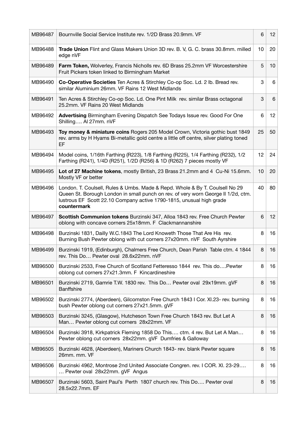| MB96487 | Bournville Social Service Institute rev. 1/2D Brass 20.9mm. VF                                                                                                                                                                                           | 6  | 12 <sup>2</sup> |
|---------|----------------------------------------------------------------------------------------------------------------------------------------------------------------------------------------------------------------------------------------------------------|----|-----------------|
| MB96488 | Trade Union Flint and Glass Makers Union 3D rev. B. V, G. C. brass 30.8mm. milled<br>edge nVF                                                                                                                                                            | 10 | 20              |
| MB96489 | Farm Token, Wolverley, Francis Nicholls rev. 6D Brass 25.2mm VF Worcestershire<br>Fruit Pickers token linked to Birmingham Market                                                                                                                        | 5  | 10              |
| MB96490 | Co-Operative Societies Ten Acres & Stirchley Co-op Soc. Ld. 2 lb. Bread rev.<br>similar Aluminium 26mm. VF Rains 12 West Midlands                                                                                                                        | 3  | 6               |
| MB96491 | Ten Acres & Stirchley Co-op Soc. Ld. One Pint Milk rev. similar Brass octagonal<br>25.2mm. VF Rains 20 West Midlands                                                                                                                                     | 3  | 6               |
| MB96492 | Advertising Birmingham Evening Dispatch See Todays Issue rev. Good For One<br>Shilling Al 27mm. nVF                                                                                                                                                      | 6  | 12 <sup>2</sup> |
| MB96493 | Toy money & miniature coins Rogers 205 Model Crown, Victoria gothic bust 1849<br>rev. arms by H Hyams Bi-metallic gold centre a little off centre, silver plating toned<br>EF                                                                            | 25 | 50              |
| MB96494 | Model coins, 1/16th Farthing (R223), 1/8 Farthing (R225), 1/4 Farthing (R232), 1/2<br>Farthing (R241), 1/4D (R251), 1/2D (R256) & 1D (R262) 7 pieces mostly VF                                                                                           | 12 | 24              |
| MB96495 | Lot of 27 Machine tokens, mostly British, 23 Brass 21.2mm and 4 Cu-Ni 15.6mm.<br>Mostly VF or better                                                                                                                                                     | 10 | 20              |
| MB96496 | London. T. Coulsell, Rules & Umbs. Made & Repd. Whole & By T. Coulsell No 29<br>Queen St. Borough London in small punch on rev. of very worn George II 1/2d, ctm.<br>lustrous EF Scott 22.10 Company active 1790-1815, unusual high grade<br>countermark | 40 | 80              |
| MB96497 | Scottish Communion tokens Burzinski 347, Alloa 1843 rev. Free Church Pewter<br>oblong with concave corners 25x18mm. F Clackmannanshire                                                                                                                   | 6  | 12 <sup>2</sup> |
|         |                                                                                                                                                                                                                                                          |    |                 |
| MB96498 | Burzinski 1831, Dailly W.C.1843 The Lord Knoweth Those That Are His rev.<br>Burning Bush Pewter oblong with cut corners 27x20mm. nVF South Ayrshire                                                                                                      | 8  | 16              |
| MB96499 | Burzinski 1919, (Edinburgh), Chalmers Free Church, Dean Parish Table ctm. 4 1844<br>rev. This Do Pewter oval 28.6x22mm. nVF                                                                                                                              | 8  | 16              |
| MB96500 | Burzinski 2533, Free Church of Scotland Fetteresso 1844 rev. This do Pewter<br>oblong cut corners 27x21.3mm. F Kincardineshire                                                                                                                           | 8  | 16              |
| MB96501 | Burzinski 2719, Gamrie T.W. 1830 rev. This Do Pewter oval 29x19mm. gVF<br><b>Banffshire</b>                                                                                                                                                              | 8  | 16              |
| MB96502 | Burzinski 2774, (Aberdeen), Gilcomston Free Church 1843 I Cor. XI.23- rev. burning<br>bush Pewter oblong cut corners 27x21.5mm. gVF                                                                                                                      | 8  | 16              |
| MB96503 | Burzinski 3245, (Glasgow), Hutcheson Town Free Church 1843 rev. But Let A<br>Man Pewter oblong cut corners 28x22mm. VF                                                                                                                                   | 8  | 16              |
| MB96504 | Burzinski 3918, Kirkpatrick Fleming 1858 Do This ctm. 4 rev. But Let A Man<br>Pewter oblong cut corners 28x22mm. gVF Dumfries & Galloway                                                                                                                 | 8  | 16              |
| MB96505 | Burzinski 4628, (Aberdeen), Mariners Church 1843- rev. blank Pewter square<br>26mm. mm. VF                                                                                                                                                               | 8  | 16              |
| MB96506 | Burzinski 4962, Montrose 2nd United Associate Congren. rev. I COR. XI. 23-29<br>Pewter oval 28x22mm. gVF Angus                                                                                                                                           | 8  | 16              |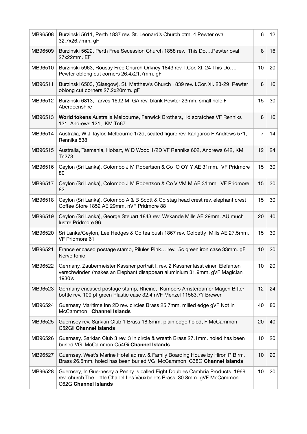| MB96508 | Burzinski 5611, Perth 1837 rev. St. Leonard's Church ctm. 4 Pewter oval<br>32.7x26.7mm. gF                                                                                      | 6              | 12 <sup>2</sup> |
|---------|---------------------------------------------------------------------------------------------------------------------------------------------------------------------------------|----------------|-----------------|
| MB96509 | Burzinski 5622, Perth Free Secession Church 1858 rev. This DoPewter oval<br>27x22mm. EF                                                                                         | 8              | 16              |
| MB96510 | Burzinski 5963, Rousay Free Church Orkney 1843 rev. I.Cor. XI. 24 This Do<br>Pewter oblong cut corners 26.4x21.7mm. gF                                                          | 10             | 20              |
| MB96511 | Burzinski 6503, (Glasgow), St. Matthew's Church 1839 rev. I.Cor. XI. 23-29 Pewter<br>oblong cut corners 27.2x20mm. gF                                                           | 8              | 16              |
| MB96512 | Burzinski 6813, Tarves 1692 M GA rev. blank Pewter 23mm. small hole F<br>Aberdeenshire                                                                                          | 15             | 30              |
| MB96513 | World tokens Australia Melbourne, Fenwick Brothers, 1d scratches VF Renniks<br>131, Andrews 121, KM Tn67                                                                        | 8              | 16              |
| MB96514 | Australia, W J Taylor, Melbourne 1/2d, seated figure rev. kangaroo F Andrews 571,<br>Renniks 538                                                                                | $\overline{7}$ | 14              |
| MB96515 | Australia, Tasmania, Hobart, W D Wood 1/2D VF Renniks 602, Andrews 642, KM<br>Tn273                                                                                             | 12             | 24              |
| MB96516 | Ceylon (Sri Lanka), Colombo J M Robertson & Co O OY Y AE 31mm. VF Pridmore<br>80                                                                                                | 15             | 30              |
| MB96517 | Ceylon (Sri Lanka), Colombo J M Robertson & Co V VM M AE 31mm. VF Pridmore<br>82                                                                                                | 15             | 30              |
| MB96518 | Ceylon (Sri Lanka), Colombo A & B Scott & Co stag head crest rev. elephant crest<br>Coffee Store 1852 AE 29mm. nVF Pridmore 88                                                  | 15             | 30              |
| MB96519 | Ceylon (Sri Lanka), George Steuart 1843 rev. Wekande Mills AE 29mm. AU much<br>lustre Pridmore 96                                                                               | 20             | 40              |
| MB96520 | Sri Lanka/Ceylon, Lee Hedges & Co tea bush 1867 rev. Colpetty Mills AE 27.5mm.<br>VF Pridmore 61                                                                                | 15             | 30              |
| MB96521 | France encased postage stamp, Pilules Pink rev. 5c green iron case 33mm. gF<br>Nerve tonic                                                                                      | 10             | 20              |
| MB96522 | Germany, Zaubermeister Kassner portrait I. rev. 2 Kassner lässt einen Elefanten<br>verschwinden (makes an Elephant disappear) aluminium 31.9mm. gVF Magician<br>1930's          | 10             | 20              |
| MB96523 | Germany encased postage stamp, Rheine, Kumpers Amsterdamer Magen Bitter<br>bottle rev. 100 pf green Plastic case 32.4 nVF Menzel 11563.7? Brewer                                | 12             | 24              |
| MB96524 | Guernsey Maritime Inn 2D rev. circles Brass 25.7mm. milled edge gVF Not in<br>McCammon Channel Islands                                                                          | 40             | 80              |
| MB96525 | Guernsey rev. Sarkian Club 1 Brass 18.8mm. plain edge holed, F McCammon<br>C52Gii Channel Islands                                                                               | 20             | 40              |
| MB96526 | Guernsey, Sarkian Club 3 rev. 3 in circle & wreath Brass 27.1mm. holed has been<br>buried VG McCammon C54Gi Channel Islands                                                     | 10             | 20              |
| MB96527 | Guernsey, West's Marine Hotel ad rev. & Family Boarding House by Hiron P Birm.<br>Brass 26.5mm. holed has been buried VG McCammon C38G Channel Islands                          | 10             | 20              |
| MB96528 | Guernsey, In Guernesey a Penny is called Eight Doubles Cambria Products 1969<br>rev. church The Little Chapel Les Vauxbelets Brass 30.8mm. gVF McCammon<br>C62G Channel Islands | 10             | 20              |